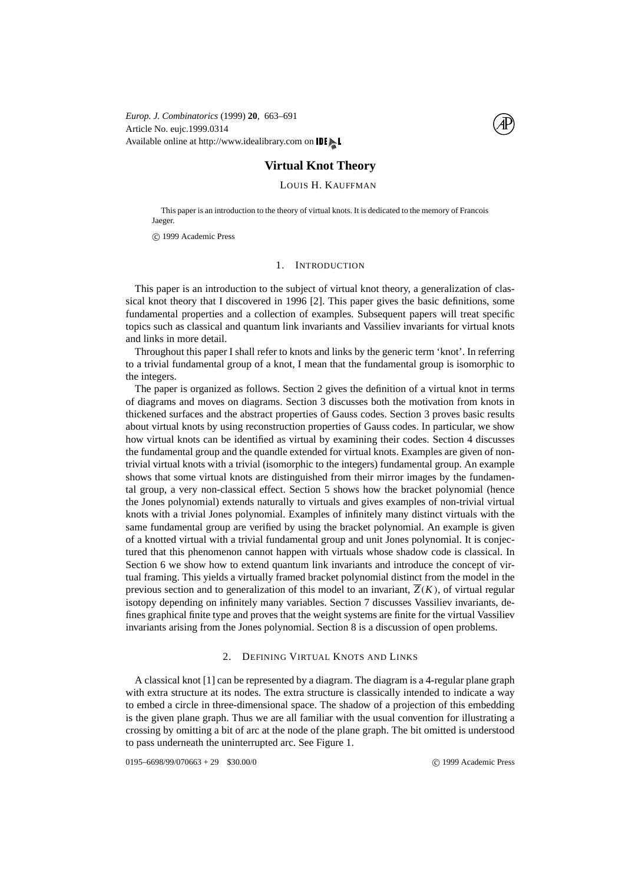Article No. eujc.1999.0314 Available online at http://www.idealibrary.com on IDI *Europ. J. Combinatorics* (1999) **20**, 663–691



# **Virtual Knot Theory**

#### LOUIS H. KAUFFMAN

This paper is an introduction to the theory of virtual knots. It is dedicated to the memory of Francois Jaeger.

c 1999 Academic Press

### 1. INTRODUCTION

This paper is an introduction to the subject of virtual knot theory, a generalization of classical knot theory that I discovered in 1996 [[2\]](#page-28-0). This paper gives the basic definitions, some fundamental properties and a collection of examples. Subsequent papers will treat specific topics such as classical and quantum link invariants and Vassiliev invariants for virtual knots and links in more detail.

Throughout this paper I shall refer to knots and links by the generic term 'knot'. In referring to a trivial fundamental group of a knot, I mean that the fundamental group is isomorphic to the integers.

The paper is organized as follows. Section [2](#page-0-0) gives the definition of a virtual knot in terms of diagrams and moves on diagrams. Section [3](#page-1-0) discusses both the motivation from knots in thickened surfaces and the abstract properties of Gauss codes. Section [3](#page-1-0) proves basic results about virtual knots by using reconstruction properties of Gauss codes. In particular, we show how virtual knots can be identified as virtual by examining their codes. Section [4](#page-8-0) discusses the fundamental group and the quandle extended for virtual knots. Examples are given of nontrivial virtual knots with a trivial (isomorphic to the integers) fundamental group. An example shows that some virtual knots are distinguished from their mirror images by the fundamental group, a very non-classical effect. Section [5](#page-13-0) shows how the bracket polynomial (hence the Jones polynomial) extends naturally to virtuals and gives examples of non-trivial virtual knots with a trivial Jones polynomial. Examples of infinitely many distinct virtuals with the same fundamental group are verified by using the bracket polynomial. An example is given of a knotted virtual with a trivial fundamental group and unit Jones polynomial. It is conjectured that this phenomenon cannot happen with virtuals whose shadow code is classical. In Section [6](#page-16-0) we show how to extend quantum link invariants and introduce the concept of virtual framing. This yields a virtually framed bracket polynomial distinct from the model in the previous section and to generalization of this model to an invariant,  $\overline{Z}(K)$ , of virtual regular isotopy depending on infinitely many variables. Section [7](#page-22-0) discusses Vassiliev invariants, defines graphical finite type and proves that the weight systems are finite for the virtual Vassiliev invariants arising from the Jones polynomial. Section [8](#page-27-0) is a discussion of open problems.

### 2. DEFINING VIRTUAL KNOTS AND LINKS

<span id="page-0-0"></span>A classical knot [[1\]](#page-28-1) can be represented by a diagram. The diagram is a 4-regular plane graph with extra structure at its nodes. The extra structure is classically intended to indicate a way to embed a circle in three-dimensional space. The shadow of a projection of this embedding is the given plane graph. Thus we are all familiar with the usual convention for illustrating a crossing by omitting a bit of arc at the node of the plane graph. The bit omitted is understood to pass underneath the uninterrupted arc. See Figure [1.](#page-1-1)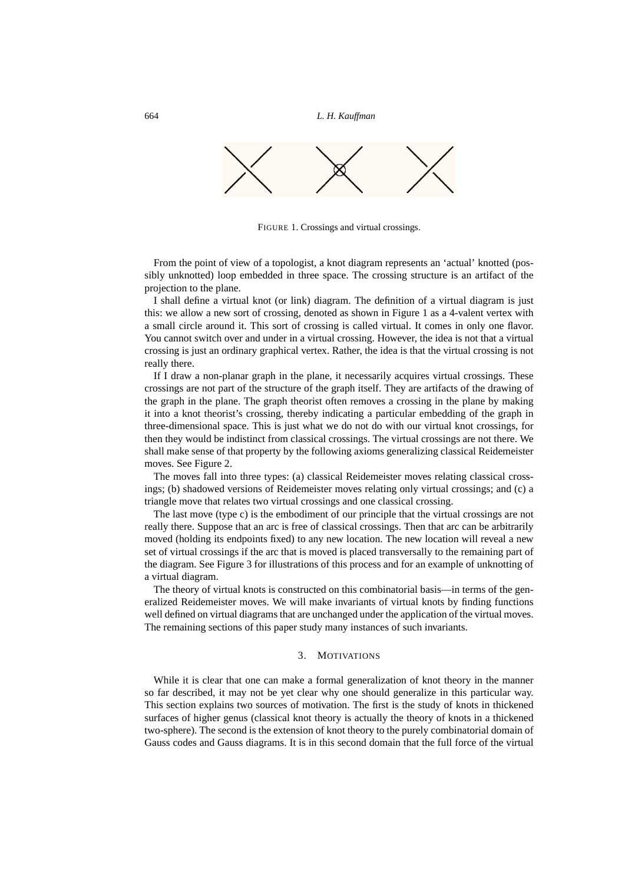

<span id="page-1-1"></span>FIGURE 1. Crossings and virtual crossings.

From the point of view of a topologist, a knot diagram represents an 'actual' knotted (possibly unknotted) loop embedded in three space. The crossing structure is an artifact of the projection to the plane.

I shall define a virtual knot (or link) diagram. The definition of a virtual diagram is just this: we allow a new sort of crossing, denoted as shown in Figure [1](#page-1-1) as a 4-valent vertex with a small circle around it. This sort of crossing is called virtual. It comes in only one flavor. You cannot switch over and under in a virtual crossing. However, the idea is not that a virtual crossing is just an ordinary graphical vertex. Rather, the idea is that the virtual crossing is not really there.

If I draw a non-planar graph in the plane, it necessarily acquires virtual crossings. These crossings are not part of the structure of the graph itself. They are artifacts of the drawing of the graph in the plane. The graph theorist often removes a crossing in the plane by making it into a knot theorist's crossing, thereby indicating a particular embedding of the graph in three-dimensional space. This is just what we do not do with our virtual knot crossings, for then they would be indistinct from classical crossings. The virtual crossings are not there. We shall make sense of that property by the following axioms generalizing classical Reidemeister moves. See Figure [2.](#page-2-0)

The moves fall into three types: (a) classical Reidemeister moves relating classical crossings; (b) shadowed versions of Reidemeister moves relating only virtual crossings; and (c) a triangle move that relates two virtual crossings and one classical crossing.

The last move (type c) is the embodiment of our principle that the virtual crossings are not really there. Suppose that an arc is free of classical crossings. Then that arc can be arbitrarily moved (holding its endpoints fixed) to any new location. The new location will reveal a new set of virtual crossings if the arc that is moved is placed transversally to the remaining part of the diagram. See Figure [3](#page-2-1) for illustrations of this process and for an example of unknotting of a virtual diagram.

The theory of virtual knots is constructed on this combinatorial basis—in terms of the generalized Reidemeister moves. We will make invariants of virtual knots by finding functions well defined on virtual diagrams that are unchanged under the application of the virtual moves. The remaining sections of this paper study many instances of such invariants.

#### 3. MOTIVATIONS

<span id="page-1-0"></span>While it is clear that one can make a formal generalization of knot theory in the manner so far described, it may not be yet clear why one should generalize in this particular way. This section explains two sources of motivation. The first is the study of knots in thickened surfaces of higher genus (classical knot theory is actually the theory of knots in a thickened two-sphere). The second is the extension of knot theory to the purely combinatorial domain of Gauss codes and Gauss diagrams. It is in this second domain that the full force of the virtual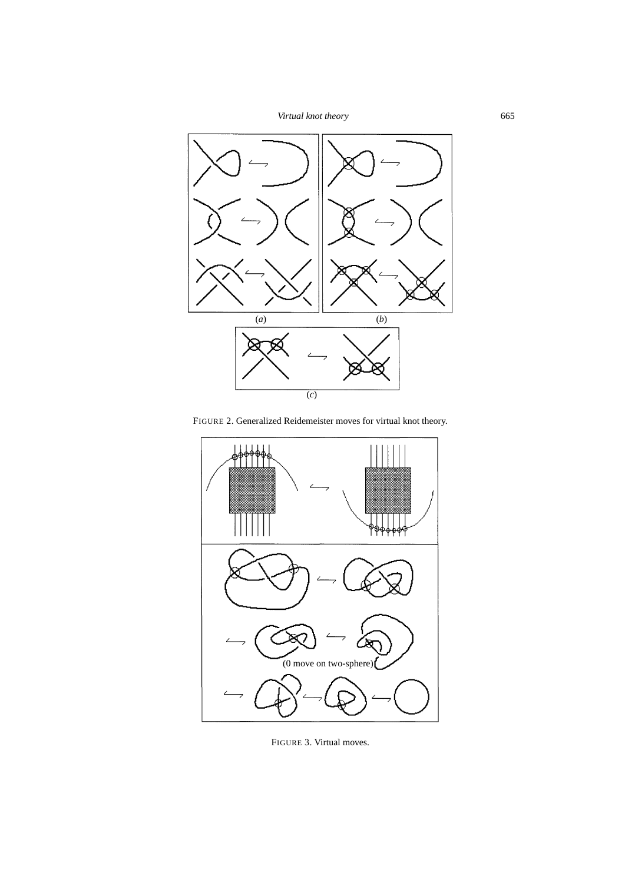

<span id="page-2-0"></span>FIGURE 2. Generalized Reidemeister moves for virtual knot theory.



<span id="page-2-1"></span>FIGURE 3. Virtual moves.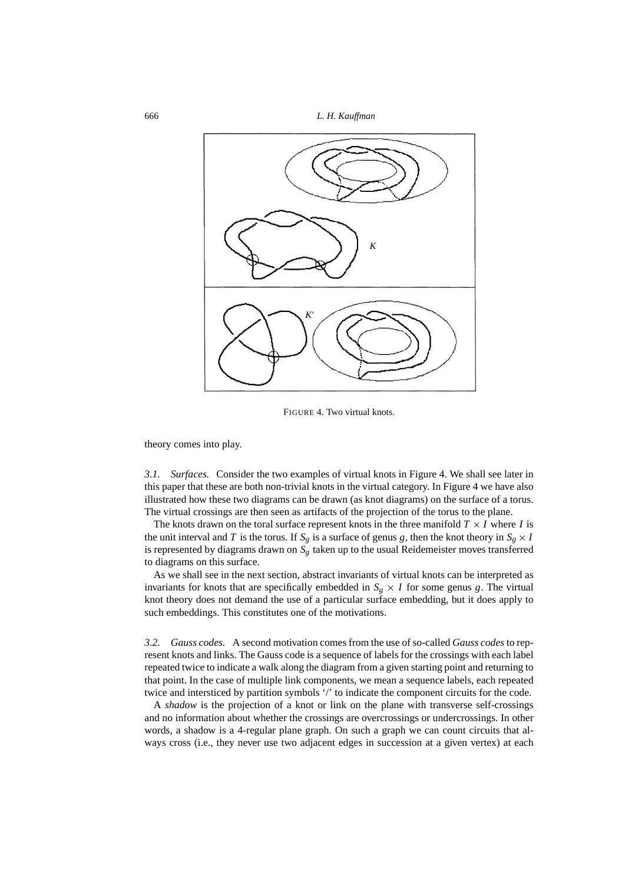666 *L. H. Kauffman*



<span id="page-3-0"></span>FIGURE 4. Two virtual knots.

theory comes into play.

*3.1. Surfaces.* Consider the two examples of virtual knots in Figure [4.](#page-3-0) We shall see later in this paper that these are both non-trivial knots in the virtual category. In Figure [4](#page-3-0) we have also illustrated how these two diagrams can be drawn (as knot diagrams) on the surface of a torus. The virtual crossings are then seen as artifacts of the projection of the torus to the plane.

The knots drawn on the toral surface represent knots in the three manifold  $T \times I$  where *I* is the unit interval and *T* is the torus. If  $S_g$  is a surface of genus *g*, then the knot theory in  $S_g \times I$ is represented by diagrams drawn on  $S_g$  taken up to the usual Reidemeister moves transferred to diagrams on this surface.

As we shall see in the next section, abstract invariants of virtual knots can be interpreted as invariants for knots that are specifically embedded in  $S_g \times I$  for some genus *g*. The virtual knot theory does not demand the use of a particular surface embedding, but it does apply to such embeddings. This constitutes one of the motivations.

*3.2. Gauss codes.* A second motivation comes from the use of so-called *Gauss codes* to represent knots and links. The Gauss code is a sequence of labels for the crossings with each label repeated twice to indicate a walk along the diagram from a given starting point and returning to that point. In the case of multiple link components, we mean a sequence labels, each repeated twice and intersticed by partition symbols '/' to indicate the component circuits for the code.

A *shadow* is the projection of a knot or link on the plane with transverse self-crossings and no information about whether the crossings are overcrossings or undercrossings. In other words, a shadow is a 4-regular plane graph. On such a graph we can count circuits that always cross (i.e., they never use two adjacent edges in succession at a given vertex) at each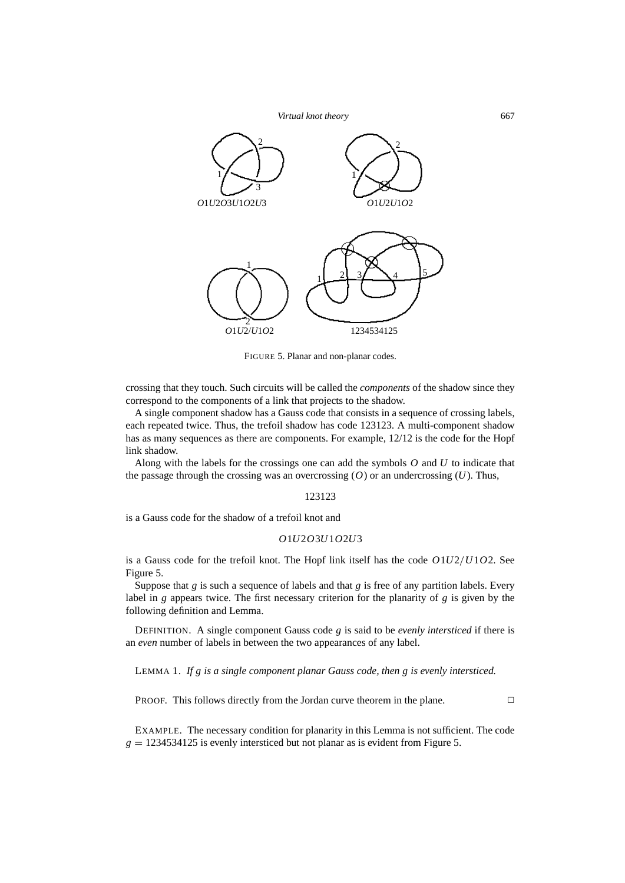

<span id="page-4-0"></span>FIGURE 5. Planar and non-planar codes.

crossing that they touch. Such circuits will be called the *components* of the shadow since they correspond to the components of a link that projects to the shadow.

A single component shadow has a Gauss code that consists in a sequence of crossing labels, each repeated twice. Thus, the trefoil shadow has code 123123. A multi-component shadow has as many sequences as there are components. For example, 12/12 is the code for the Hopf link shadow.

Along with the labels for the crossings one can add the symbols *O* and *U* to indicate that the passage through the crossing was an overcrossing  $(O)$  or an undercrossing  $(U)$ . Thus,

#### 123123

is a Gauss code for the shadow of a trefoil knot and

## *O*1*U*2*O*3*U*1*O*2*U*3

is a Gauss code for the trefoil knot. The Hopf link itself has the code *O*1*U*2/*U*1*O*2. See Figure [5](#page-4-0).

Suppose that *g* is such a sequence of labels and that *g* is free of any partition labels. Every label in *g* appears twice. The first necessary criterion for the planarity of *g* is given by the following definition and Lemma.

DEFINITION. A single component Gauss code *g* is said to be *evenly intersticed* if there is an *even* number of labels in between the two appearances of any label.

<span id="page-4-1"></span>LEMMA 1. *If g is a single component planar Gauss code, then g is evenly intersticed.*

PROOF. This follows directly from the Jordan curve theorem in the plane.  $\Box$ 

EXAMPLE. The necessary condition for planarity in this Lemma is not sufficient. The code  $g = 1234534125$  $g = 1234534125$  $g = 1234534125$  is evenly intersticed but not planar as is evident from Figure 5.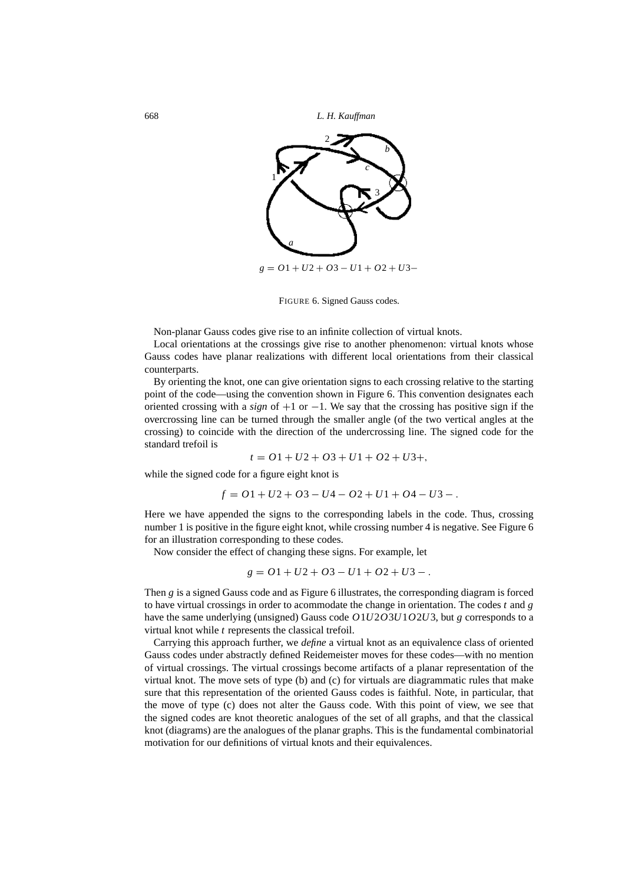

<span id="page-5-0"></span>FIGURE 6. Signed Gauss codes.

Non-planar Gauss codes give rise to an infinite collection of virtual knots.

Local orientations at the crossings give rise to another phenomenon: virtual knots whose Gauss codes have planar realizations with different local orientations from their classical counterparts.

By orienting the knot, one can give orientation signs to each crossing relative to the starting point of the code—using the convention shown in Figure [6.](#page-5-0) This convention designates each oriented crossing with a *sign* of +1 or −1. We say that the crossing has positive sign if the overcrossing line can be turned through the smaller angle (of the two vertical angles at the crossing) to coincide with the direction of the undercrossing line. The signed code for the standard trefoil is

$$
t = 01 + U2 + 03 + U1 + 02 + U3 +
$$

while the signed code for a figure eight knot is

$$
f = 01 + U2 + 03 - U4 - 02 + U1 + 04 - U3 - .
$$

Here we have appended the signs to the corresponding labels in the code. Thus, crossing number 1 is positive in the figure eight knot, while crossing number 4 is negative. See Figure [6](#page-5-0) for an illustration corresponding to these codes.

Now consider the effect of changing these signs. For example, let

$$
g = 01 + U2 + 03 - U1 + 02 + U3 - .
$$

Then *g* is a signed Gauss code and as Figure [6](#page-5-0) illustrates, the corresponding diagram is forced to have virtual crossings in order to acommodate the change in orientation. The codes *t* and *g* have the same underlying (unsigned) Gauss code *O*1*U*2*O*3*U*1*O*2*U*3, but *g* corresponds to a virtual knot while *t* represents the classical trefoil.

Carrying this approach further, we *define* a virtual knot as an equivalence class of oriented Gauss codes under abstractly defined Reidemeister moves for these codes—with no mention of virtual crossings. The virtual crossings become artifacts of a planar representation of the virtual knot. The move sets of type (b) and (c) for virtuals are diagrammatic rules that make sure that this representation of the oriented Gauss codes is faithful. Note, in particular, that the move of type (c) does not alter the Gauss code. With this point of view, we see that the signed codes are knot theoretic analogues of the set of all graphs, and that the classical knot (diagrams) are the analogues of the planar graphs. This is the fundamental combinatorial motivation for our definitions of virtual knots and their equivalences.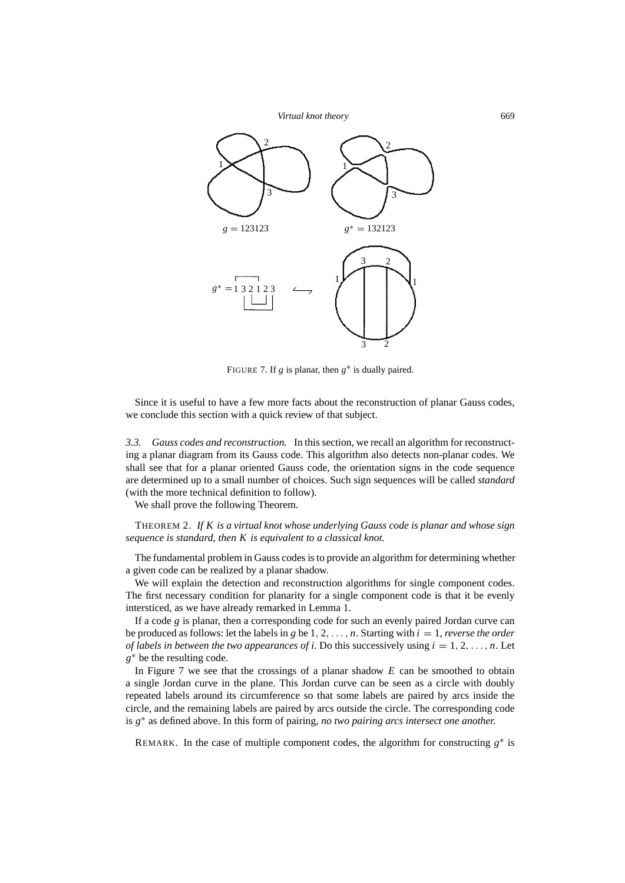

<span id="page-6-1"></span><span id="page-6-0"></span>FIGURE 7. If *g* is planar, then  $g^*$  is dually paired.

Since it is useful to have a few more facts about the reconstruction of planar Gauss codes, we conclude this section with a quick review of that subject.

*3.3. Gauss codes and reconstruction.* In this section, we recall an algorithm for reconstructing a planar diagram from its Gauss code. This algorithm also detects non-planar codes. We shall see that for a planar oriented Gauss code, the orientation signs in the code sequence are determined up to a small number of choices. Such sign sequences will be called *standard* (with the more technical definition to follow).

We shall prove the following Theorem.

THEOREM 2. *If K is a virtual knot whose underlying Gauss code is planar and whose sign sequence is standard, then K is equivalent to a classical knot.*

The fundamental problem in Gauss codes is to provide an algorithm for determining whether a given code can be realized by a planar shadow.

We will explain the detection and reconstruction algorithms for single component codes. The first necessary condition for planarity for a single component code is that it be evenly intersticed, as we have already remarked in Lemma [1](#page-4-1).

If a code *g* is planar, then a corresponding code for such an evenly paired Jordan curve can be produced as follows: let the labels in *g* be 1, 2, . . . , *n*. Starting with *i* = 1, *reverse the order of labels in between the two appearances of <i>i*. Do this successively using  $i = 1, 2, \ldots, n$ . Let  $g^*$  be the resulting code.

In Figure [7](#page-6-0) we see that the crossings of a planar shadow *E* can be smoothed to obtain a single Jordan curve in the plane. This Jordan curve can be seen as a circle with doubly repeated labels around its circumference so that some labels are paired by arcs inside the circle, and the remaining labels are paired by arcs outside the circle. The corresponding code is *g* ∗ as defined above. In this form of pairing, *no two pairing arcs intersect one another.*

REMARK. In the case of multiple component codes, the algorithm for constructing  $g^*$  is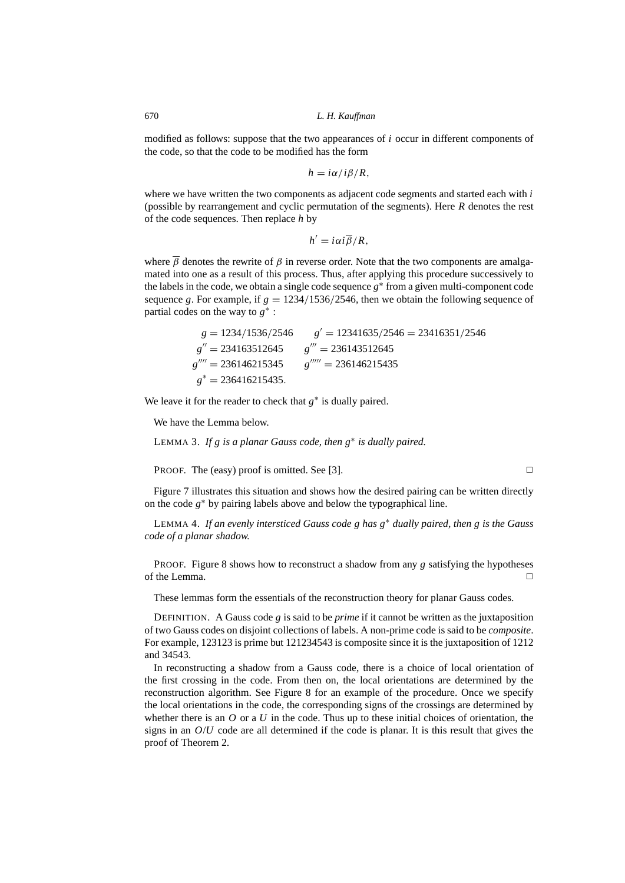modified as follows: suppose that the two appearances of *i* occur in different components of the code, so that the code to be modified has the form

$$
h = i\alpha / i\beta / R,
$$

where we have written the two components as adjacent code segments and started each with *i* (possible by rearrangement and cyclic permutation of the segments). Here *R* denotes the rest of the code sequences. Then replace *h* by

$$
h' = i \alpha i \overline{\beta}/R,
$$

where  $\overline{\beta}$  denotes the rewrite of  $\beta$  in reverse order. Note that the two components are amalgamated into one as a result of this process. Thus, after applying this procedure successively to the labels in the code, we obtain a single code sequence  $g^*$  from a given multi-component code sequence *g*. For example, if  $g = 1234/1536/2546$ , then we obtain the following sequence of partial codes on the way to  $g^*$ :

$$
g = 1234/1536/2546
$$
  $g' = 12341635/2546 = 23416351/2546$   
\n $g'' = 234163512645$   $g''' = 236143512645$   
\n $g'''' = 236146215345$   $g'''' = 236146215435$   
\n $g^* = 236416215435$ .

We leave it for the reader to check that  $g^*$  is dually paired.

We have the Lemma below.

LEMMA 3. *If g is a planar Gauss code, then g*<sup>∗</sup> *is dually paired.*

PROOF. The (easy) proof is omitted. See [\[3](#page-28-2)].  $\Box$ 

Figure [7](#page-6-0) illustrates this situation and shows how the desired pairing can be written directly on the code  $g^*$  by pairing labels above and below the typographical line.

LEMMA 4. *If an evenly intersticed Gauss code g has g*<sup>∗</sup> *dually paired, then g is the Gauss code of a planar shadow.*

PROOF. Figure [8](#page-8-1) shows how to reconstruct a shadow from any *g* satisfying the hypotheses of the Lemma.

These lemmas form the essentials of the reconstruction theory for planar Gauss codes.

DEFINITION. A Gauss code *g* is said to be *prime* if it cannot be written as the juxtaposition of two Gauss codes on disjoint collections of labels. A non-prime code is said to be *composite*. For example, 123123 is prime but 121234543 is composite since it is the juxtaposition of 1212 and 34543.

In reconstructing a shadow from a Gauss code, there is a choice of local orientation of the first crossing in the code. From then on, the local orientations are determined by the reconstruction algorithm. See Figure [8](#page-8-1) for an example of the procedure. Once we specify the local orientations in the code, the corresponding signs of the crossings are determined by whether there is an *O* or a *U* in the code. Thus up to these initial choices of orientation, the signs in an  $O/U$  code are all determined if the code is planar. It is this result that gives the proof of Theorem [2](#page-6-1).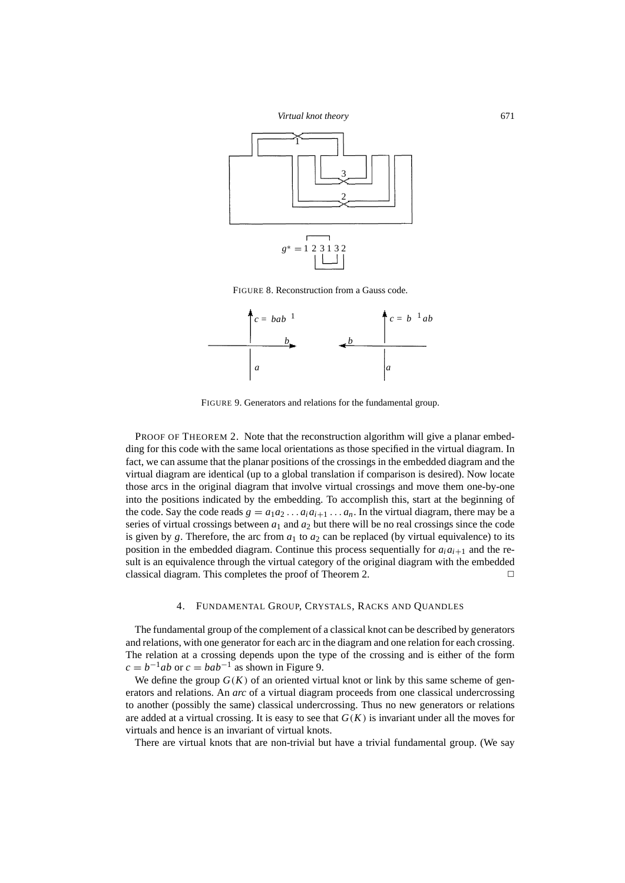

<span id="page-8-1"></span>FIGURE 8. Reconstruction from a Gauss code.



<span id="page-8-2"></span>FIGURE 9. Generators and relations for the fundamental group.

PROOF OF THEOREM [2.](#page-6-1) Note that the reconstruction algorithm will give a planar embedding for this code with the same local orientations as those specified in the virtual diagram. In fact, we can assume that the planar positions of the crossings in the embedded diagram and the virtual diagram are identical (up to a global translation if comparison is desired). Now locate those arcs in the original diagram that involve virtual crossings and move them one-by-one into the positions indicated by the embedding. To accomplish this, start at the beginning of the code. Say the code reads  $g = a_1 a_2 \ldots a_i a_{i+1} \ldots a_n$ . In the virtual diagram, there may be a series of virtual crossings between  $a_1$  and  $a_2$  but there will be no real crossings since the code is given by *g*. Therefore, the arc from  $a_1$  to  $a_2$  can be replaced (by virtual equivalence) to its position in the embedded diagram. Continue this process sequentially for  $a_i a_{i+1}$  and the result is an equivalence through the virtual category of the original diagram with the embedded classical diagram. This completes the proof of Theorem [2.](#page-6-1)  $\Box$ 

## 4. FUNDAMENTAL GROUP, CRYSTALS, RACKS AND QUANDLES

<span id="page-8-0"></span>The fundamental group of the complement of a classical knot can be described by generators and relations, with one generator for each arc in the diagram and one relation for each crossing. The relation at a crossing depends upon the type of the crossing and is either of the form  $c = b^{-1}ab$  or  $c = bab^{-1}$  as shown in Figure [9](#page-8-2).

We define the group  $G(K)$  of an oriented virtual knot or link by this same scheme of generators and relations. An *arc* of a virtual diagram proceeds from one classical undercrossing to another (possibly the same) classical undercrossing. Thus no new generators or relations are added at a virtual crossing. It is easy to see that  $G(K)$  is invariant under all the moves for virtuals and hence is an invariant of virtual knots.

There are virtual knots that are non-trivial but have a trivial fundamental group. (We say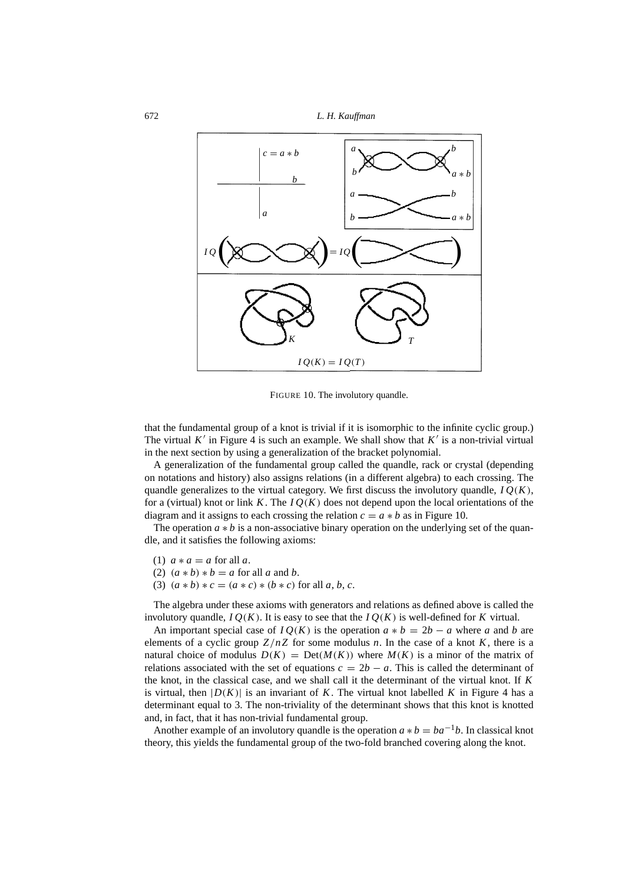

<span id="page-9-0"></span>FIGURE 10. The involutory quandle.

that the fundamental group of a knot is trivial if it is isomorphic to the infinite cyclic group.) The virtual  $K'$  in Figure [4](#page-3-0) is such an example. We shall show that  $K'$  is a non-trivial virtual in the next section by using a generalization of the bracket polynomial.

A generalization of the fundamental group called the quandle, rack or crystal (depending on notations and history) also assigns relations (in a different algebra) to each crossing. The quandle generalizes to the virtual category. We first discuss the involutory quandle,  $IQ(K)$ , for a (virtual) knot or link *K*. The *I Q*(*K*) does not depend upon the local orientations of the diagram and it assigns to each crossing the relation  $c = a * b$  as in Figure [10](#page-9-0).

The operation  $a * b$  is a non-associative binary operation on the underlying set of the quandle, and it satisfies the following axioms:

- (1)  $a * a = a$  for all *a*.
- (2)  $(a * b) * b = a$  for all *a* and *b*.
- (3)  $(a * b) * c = (a * c) * (b * c)$  for all *a*, *b*, *c*.

The algebra under these axioms with generators and relations as defined above is called the involutory quandle,  $I \mathcal{O}(K)$ . It is easy to see that the  $I \mathcal{O}(K)$  is well-defined for K virtual.

An important special case of *IQ(K)* is the operation  $a * b = 2b - a$  where *a* and *b* are elements of a cyclic group  $Z/nZ$  for some modulus *n*. In the case of a knot *K*, there is a natural choice of modulus  $D(K) = \text{Det}(M(K))$  where  $M(K)$  is a minor of the matrix of relations associated with the set of equations  $c = 2b - a$ . This is called the determinant of the knot, in the classical case, and we shall call it the determinant of the virtual knot. If *K* is virtual, then  $|D(K)|$  is an invariant of K. The virtual knot labelled K in Figure [4](#page-3-0) has a determinant equal to 3. The non-triviality of the determinant shows that this knot is knotted and, in fact, that it has non-trivial fundamental group.

Another example of an involutory quandle is the operation  $a * b = ba^{-1}b$ . In classical knot theory, this yields the fundamental group of the two-fold branched covering along the knot.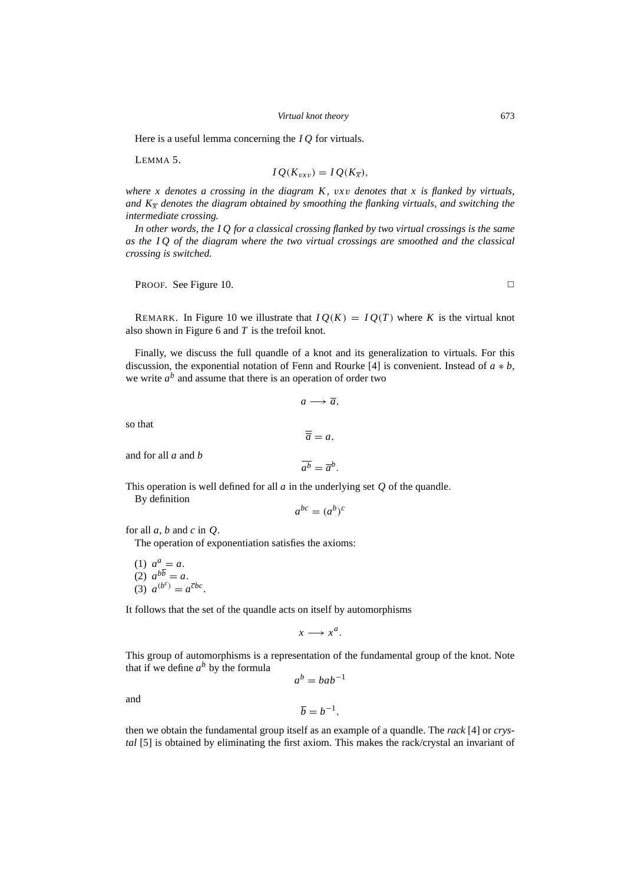Here is a useful lemma concerning the *I Q* for virtuals.

LEMMA 5.

<span id="page-10-0"></span>
$$
I\mathcal{Q}(K_{vxv})=I\mathcal{Q}(K_{\overline{x}}),
$$

*where x denotes a crossing in the diagram K ,* v*x*v *denotes that x is flanked by virtuals, and*  $K_{\overline{x}}$  *denotes the diagram obtained by smoothing the flanking virtuals, and switching the intermediate crossing.*

*In other words, the I Q for a classical crossing flanked by two virtual crossings is the same as the I Q of the diagram where the two virtual crossings are smoothed and the classical crossing is switched.*

PROOF. See Figure [10](#page-9-0).

REMARK. In Figure [10](#page-9-0) we illustrate that  $IQ(K) = IQ(T)$  where *K* is the virtual knot also shown in Figure [6](#page-5-0) and *T* is the trefoil knot.

Finally, we discuss the full quandle of a knot and its generalization to virtuals. For this discussion, the exponential notation of Fenn and Rourke [\[4](#page-28-3)] is convenient. Instead of *a* ∗ *b*, we write  $a^b$  and assume that there is an operation of order two

$$
a\longrightarrow \overline{a},
$$

so that

 $\overline{\overline{a}} = a$ .

and for all *a* and *b*

$$
\overline{a^b} = \overline{a}^b.
$$

This operation is well defined for all *a* in the underlying set *Q* of the quandle. By definition

$$
a^{bc} = (a^b)^c
$$

for all *a*, *b* and *c* in *Q*.

The operation of exponentiation satisfies the axioms:

(1) 
$$
a^a = a
$$
.  
\n(2)  $a^{b\overline{b}} = a$ .  
\n(3)  $a^{(b^c)} = a^{\overline{c}bc}$ .

It follows that the set of the quandle acts on itself by automorphisms

$$
x \longrightarrow x^a.
$$

This group of automorphisms is a representation of the fundamental group of the knot. Note that if we define  $a^b$  by the formula  $a^b = bab^{-1}$ 

and

$$
\overline{b}=b^{-1},
$$

then we obtain the fundamental group itself as an example of a quandle. The *rack* [\[4](#page-28-3)] or *crystal* [[5\]](#page-28-4) is obtained by eliminating the first axiom. This makes the rack/crystal an invariant of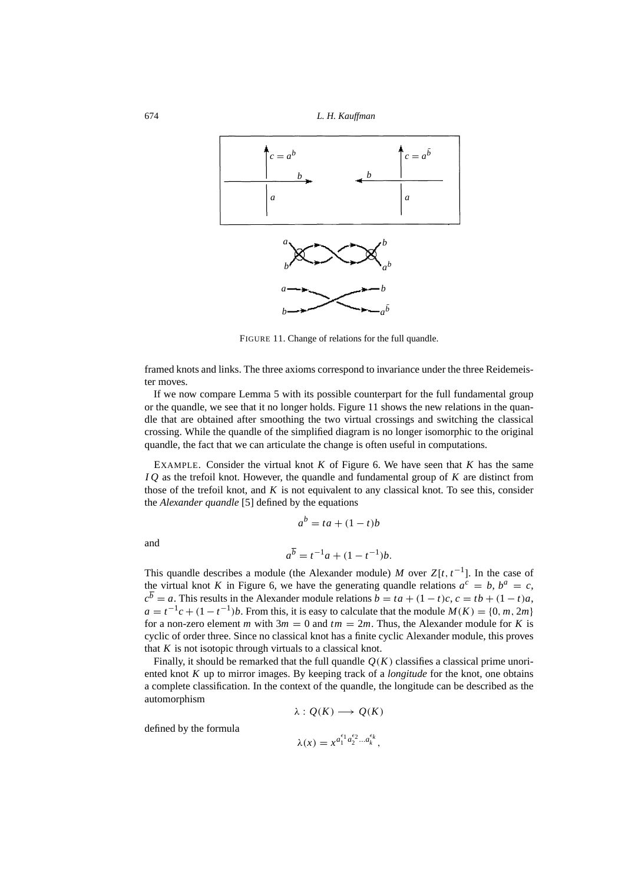

<span id="page-11-0"></span>FIGURE 11. Change of relations for the full quandle.

framed knots and links. The three axioms correspond to invariance under the three Reidemeister moves.

If we now compare Lemma [5](#page-10-0) with its possible counterpart for the full fundamental group or the quandle, we see that it no longer holds. Figure [11](#page-11-0) shows the new relations in the quandle that are obtained after smoothing the two virtual crossings and switching the classical crossing. While the quandle of the simplified diagram is no longer isomorphic to the original quandle, the fact that we can articulate the change is often useful in computations.

EXAMPLE. Consider the virtual knot  $K$  of Figure [6](#page-5-0). We have seen that  $K$  has the same *I Q* as the trefoil knot. However, the quandle and fundamental group of *K* are distinct from those of the trefoil knot, and  $K$  is not equivalent to any classical knot. To see this, consider the *Alexander quandle* [[5\]](#page-28-4) defined by the equations

and

$$
a^b = ta + (1 - t)b
$$

*a*

$$
a^{\overline{b}} = t^{-1}a + (1 - t^{-1})b.
$$

This quandle describes a module (the Alexander module) *M* over  $Z[t, t^{-1}]$ . In the case of the virtual knot *K* in Figure [6](#page-5-0), we have the generating quandle relations  $a^c = b$ ,  $b^a = c$ ,  $c^{\overline{b}} = a$ . This results in the Alexander module relations  $b = ta + (1-t)c$ ,  $c = tb + (1-t)a$ ,  $a = t^{-1}c + (1 - t^{-1})b$ . From this, it is easy to calculate that the module  $M(K) = \{0, m, 2m\}$ for a non-zero element *m* with  $3m = 0$  and  $tm = 2m$ . Thus, the Alexander module for *K* is cyclic of order three. Since no classical knot has a finite cyclic Alexander module, this proves that  $K$  is not isotopic through virtuals to a classical knot.

Finally, it should be remarked that the full quandle  $Q(K)$  classifies a classical prime unoriented knot *K* up to mirror images. By keeping track of a *longitude* for the knot, one obtains a complete classification. In the context of the quandle, the longitude can be described as the automorphism

$$
\lambda: Q(K) \longrightarrow Q(K)
$$

defined by the formula

$$
\lambda(x) = x^{a_1^{\\\epsilon_1} a_2^{\\\epsilon_2} \dots a_k^{\\\epsilon_k}},
$$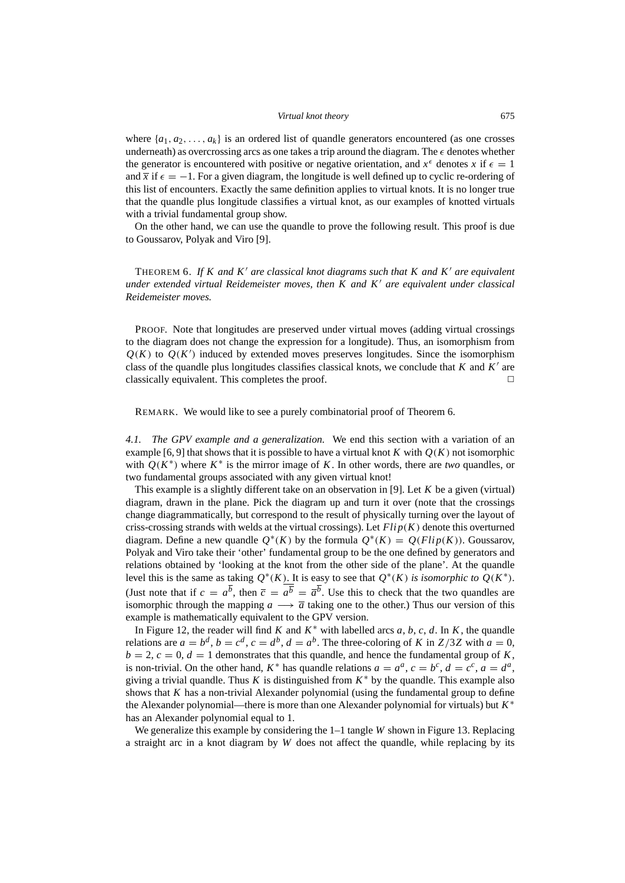where  $\{a_1, a_2, \ldots, a_k\}$  is an ordered list of quandle generators encountered (as one crosses underneath) as overcrossing arcs as one takes a trip around the diagram. The  $\epsilon$  denotes whether the generator is encountered with positive or negative orientation, and  $x^{\epsilon}$  denotes x if  $\epsilon = 1$ and  $\overline{x}$  if  $\epsilon = -1$ . For a given diagram, the longitude is well defined up to cyclic re-ordering of this list of encounters. Exactly the same definition applies to virtual knots. It is no longer true that the quandle plus longitude classifies a virtual knot, as our examples of knotted virtuals with a trivial fundamental group show.

On the other hand, we can use the quandle to prove the following result. This proof is due to Goussarov, Polyak and Viro [\[9](#page-28-5)].

<span id="page-12-0"></span>THEOREM 6. If K and K' are classical knot diagrams such that K and K' are equivalent *under extended virtual Reidemeister moves, then K and K*<sup>0</sup> *are equivalent under classical Reidemeister moves.*

PROOF. Note that longitudes are preserved under virtual moves (adding virtual crossings to the diagram does not change the expression for a longitude). Thus, an isomorphism from  $Q(K)$  to  $Q(K')$  induced by extended moves preserves longitudes. Since the isomorphism class of the quandle plus longitudes classifies classical knots, we conclude that *K* and  $K'$  are classically equivalent. This completes the proof.  $\Box$ 

REMARK. We would like to see a purely combinatorial proof of Theorem [6](#page-12-0).

*4.1. The GPV example and a generalization.* We end this section with a variation of an example [[6](#page-28-6)[, 9\]](#page-28-5) that shows that it is possible to have a virtual knot *K* with  $Q(K)$  not isomorphic with  $Q(K^*)$  where  $K^*$  is the mirror image of K. In other words, there are *two* quandles, or two fundamental groups associated with any given virtual knot!

This example is a slightly different take on an observation in [[9\]](#page-28-5). Let *K* be a given (virtual) diagram, drawn in the plane. Pick the diagram up and turn it over (note that the crossings change diagrammatically, but correspond to the result of physically turning over the layout of criss-crossing strands with welds at the virtual crossings). Let  $Flip(K)$  denote this overturned diagram. Define a new quandle  $Q^*(K)$  by the formula  $Q^*(K) = Q(Flip(K))$ . Goussarov, Polyak and Viro take their 'other' fundamental group to be the one defined by generators and relations obtained by 'looking at the knot from the other side of the plane'. At the quandle level this is the same as taking  $Q^*(K)$ . It is easy to see that  $Q^*(K)$  *is isomorphic to*  $Q(K^*)$ . (Just note that if  $c = a^{\overline{b}}$ , then  $\overline{c} = a^{\overline{b}} = \overline{a}^b$ . Use this to check that the two quandles are isomorphic through the mapping  $a \rightarrow \overline{a}$  taking one to the other.) Thus our version of this example is mathematically equivalent to the GPV version.

In Figure [12,](#page-13-1) the reader will find *K* and  $K^*$  with labelled arcs *a*, *b*, *c*, *d*. In *K*, the quandle relations are  $a = b^d$ ,  $b = c^d$ ,  $c = d^b$ ,  $d = a^b$ . The three-coloring of *K* in *Z*/3*Z* with  $a = 0$ ,  $b = 2$ ,  $c = 0$ ,  $d = 1$  demonstrates that this quandle, and hence the fundamental group of *K*, is non-trivial. On the other hand,  $K^*$  has quandle relations  $a = a^a$ ,  $c = b^c$ ,  $d = c^c$ ,  $a = d^a$ , giving a trivial quandle. Thus *K* is distinguished from  $K^*$  by the quandle. This example also shows that *K* has a non-trivial Alexander polynomial (using the fundamental group to define the Alexander polynomial—there is more than one Alexander polynomial for virtuals) but  $K^*$ has an Alexander polynomial equal to 1.

We generalize this example by considering the 1–1 tangle *W* shown in Figure [13](#page-13-2). Replacing a straight arc in a knot diagram by *W* does not affect the quandle, while replacing by its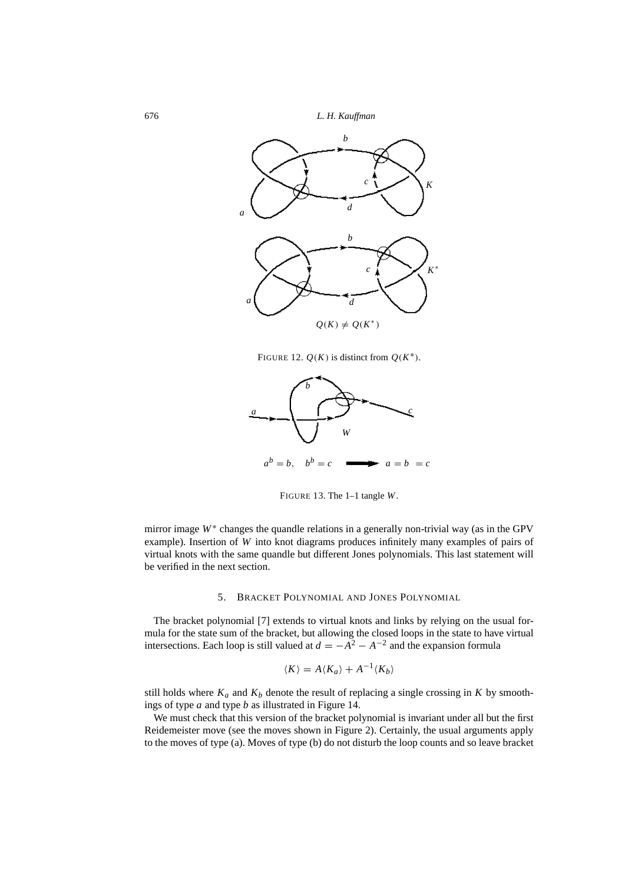

<span id="page-13-1"></span>FIGURE 12.  $Q(K)$  is distinct from  $Q(K^*)$ .



<span id="page-13-2"></span>FIGURE 13. The 1–1 tangle *W*.

mirror image W<sup>∗</sup> changes the quandle relations in a generally non-trivial way (as in the GPV example). Insertion of *W* into knot diagrams produces infinitely many examples of pairs of virtual knots with the same quandle but different Jones polynomials. This last statement will be verified in the next section.

### 5. BRACKET POLYNOMIAL AND JONES POLYNOMIAL

<span id="page-13-0"></span>The bracket polynomial [[7\]](#page-28-7) extends to virtual knots and links by relying on the usual formula for the state sum of the bracket, but allowing the closed loops in the state to have virtual intersections. Each loop is still valued at  $d = -A^2 - A^{-2}$  and the expansion formula

$$
\langle K \rangle = A \langle K_a \rangle + A^{-1} \langle K_b \rangle
$$

still holds where  $K_a$  and  $K_b$  denote the result of replacing a single crossing in  $K$  by smoothings of type *a* and type *b* as illustrated in Figure [14](#page-14-0).

We must check that this version of the bracket polynomial is invariant under all but the first Reidemeister move (see the moves shown in Figure [2\)](#page-2-0). Certainly, the usual arguments apply to the moves of type (a). Moves of type (b) do not disturb the loop counts and so leave bracket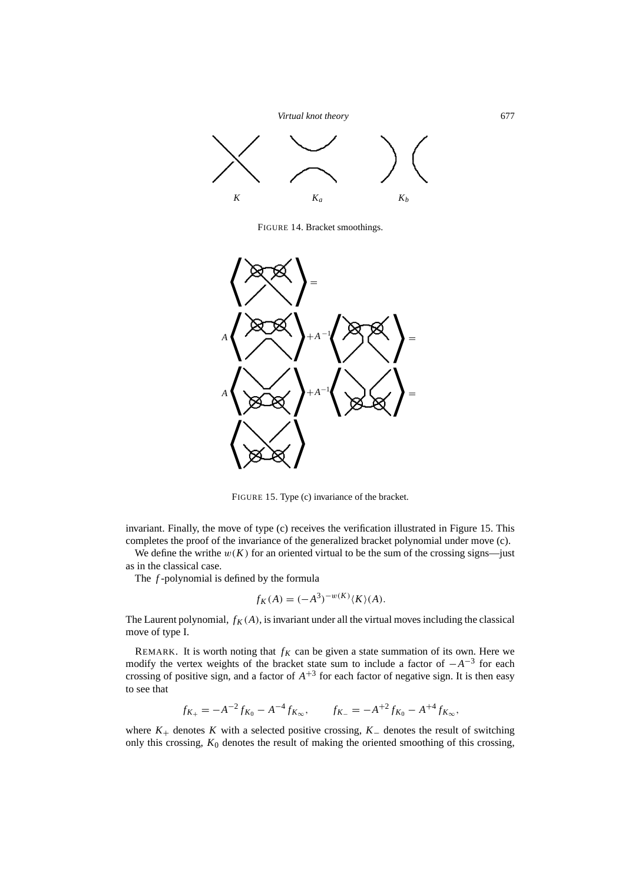

<span id="page-14-0"></span>FIGURE 14. Bracket smoothings.



<span id="page-14-1"></span>FIGURE 15. Type (c) invariance of the bracket.

invariant. Finally, the move of type (c) receives the verification illustrated in Figure [15](#page-14-1). This completes the proof of the invariance of the generalized bracket polynomial under move (c).

We define the writhe  $w(K)$  for an oriented virtual to be the sum of the crossing signs—just as in the classical case.

The *f* -polynomial is defined by the formula

$$
f_K(A) = (-A^3)^{-w(K)} \langle K \rangle(A).
$$

The Laurent polynomial,  $f_K(A)$ , is invariant under all the virtual moves including the classical move of type I.

REMARK. It is worth noting that  $f_K$  can be given a state summation of its own. Here we modify the vertex weights of the bracket state sum to include a factor of  $-A^{-3}$  for each crossing of positive sign, and a factor of  $A^{+3}$  for each factor of negative sign. It is then easy to see that

$$
f_{K_+} = -A^{-2} f_{K_0} - A^{-4} f_{K_\infty},
$$
  $f_{K_-} = -A^{+2} f_{K_0} - A^{+4} f_{K_\infty},$ 

where  $K_+$  denotes  $K$  with a selected positive crossing,  $K_-\$  denotes the result of switching only this crossing, *K*<sup>0</sup> denotes the result of making the oriented smoothing of this crossing,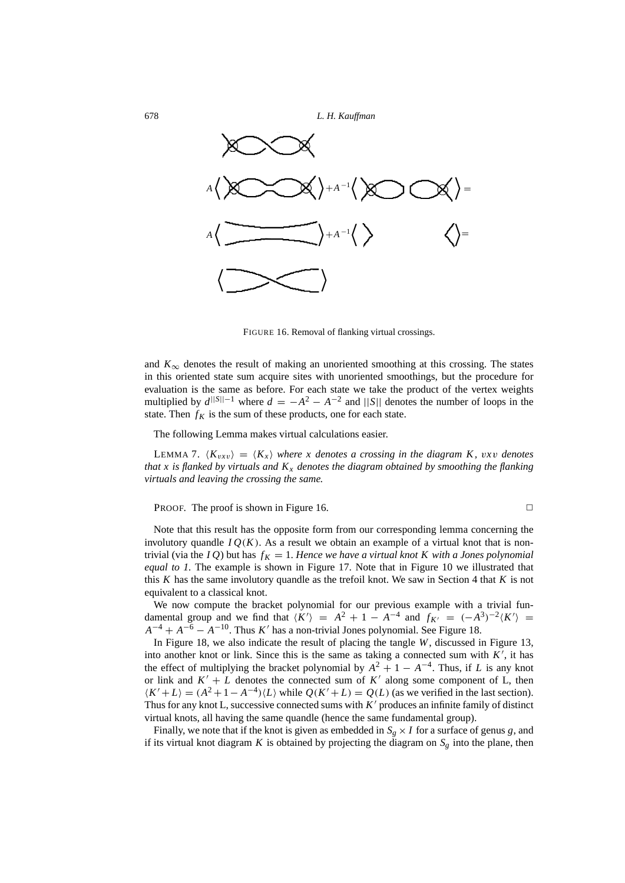

<span id="page-15-0"></span>FIGURE 16. Removal of flanking virtual crossings.

and  $K_{\infty}$  denotes the result of making an unoriented smoothing at this crossing. The states in this oriented state sum acquire sites with unoriented smoothings, but the procedure for evaluation is the same as before. For each state we take the product of the vertex weights multiplied by  $d^{\vert |S \vert - 1}$  where  $d = -A^2 - A^{-2}$  and  $\vert |S \vert$  denotes the number of loops in the state. Then  $f_K$  is the sum of these products, one for each state.

The following Lemma makes virtual calculations easier.

LEMMA 7.  $\langle K_{vxv} \rangle = \langle K_x \rangle$  where x denotes a crossing in the diagram K, vxv denotes *that x is flanked by virtuals and K<sup>x</sup> denotes the diagram obtained by smoothing the flanking virtuals and leaving the crossing the same.*

PROOF. The proof is shown in Figure [16.](#page-15-0)  $\Box$ 

<span id="page-15-1"></span>

Note that this result has the opposite form from our corresponding lemma concerning the involutory quandle  $IQ(K)$ . As a result we obtain an example of a virtual knot that is nontrivial (via the *IQ*) but has  $f_K = 1$ . Hence we have a virtual knot K with a Jones polynomial *equal to 1.* The example is shown in Figure [17.](#page-16-1) Note that in Figure [10](#page-9-0) we illustrated that this *K* has the same involutory quandle as the trefoil knot. We saw in Section 4 that *K* is not equivalent to a classical knot.

We now compute the bracket polynomial for our previous example with a trivial fundamental group and we find that  $\langle K' \rangle = A^2 + 1 - A^{-4}$  and  $f_{K'} = (-A^3)^{-2} \langle K' \rangle =$  $A^{-4} + A^{-6} - A^{-10}$ . Thus *K'* has a non-trivial Jones polynomial. See Figure [18.](#page-17-0)

In Figure [18](#page-17-0), we also indicate the result of placing the tangle *W*, discussed in Figure [13,](#page-13-2) into another knot or link. Since this is the same as taking a connected sum with  $K'$ , it has the effect of multiplying the bracket polynomial by  $A^2 + 1 - A^{-4}$ . Thus, if *L* is any knot or link and  $K' + L$  denotes the connected sum of  $K'$  along some component of L, then  $\langle K' + L \rangle = (A^2 + 1 - A^{-4})\langle L \rangle$  while  $Q(K' + L) = Q(L)$  (as we verified in the last section). Thus for any knot L, successive connected sums with  $\tilde{K}$  produces an infinite family of distinct virtual knots, all having the same quandle (hence the same fundamental group).

Finally, we note that if the knot is given as embedded in  $S_g \times I$  for a surface of genus *g*, and if its virtual knot diagram  $K$  is obtained by projecting the diagram on  $S_g$  into the plane, then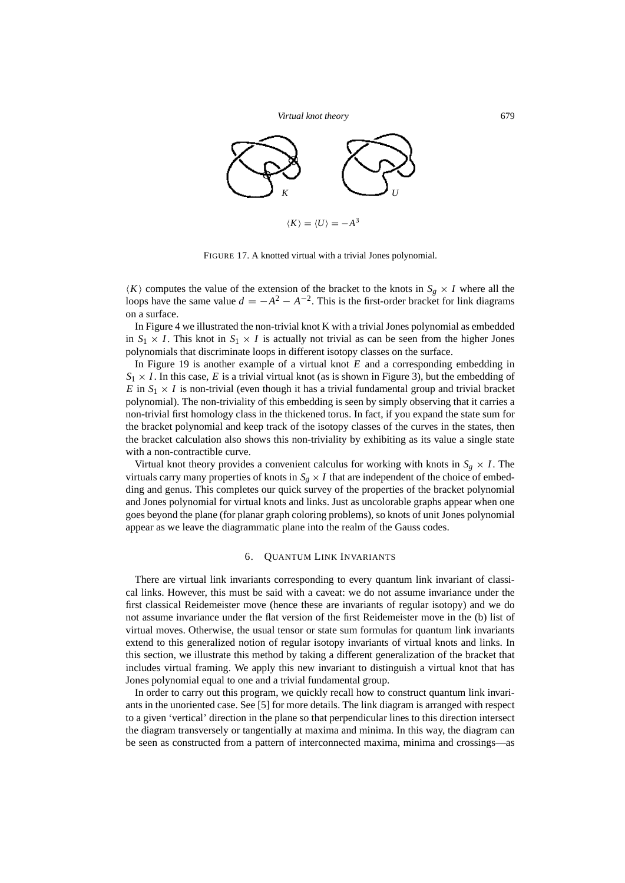

<span id="page-16-1"></span>FIGURE 17. A knotted virtual with a trivial Jones polynomial.

 $\langle K \rangle$  computes the value of the extension of the bracket to the knots in  $S_g \times I$  where all the loops have the same value  $d = -A^2 - A^{-2}$ . This is the first-order bracket for link diagrams on a surface.

In Figure [4](#page-3-0) we illustrated the non-trivial knot K with a trivial Jones polynomial as embedded in  $S_1 \times I$ . This knot in  $S_1 \times I$  is actually not trivial as can be seen from the higher Jones polynomials that discriminate loops in different isotopy classes on the surface.

In Figure [19](#page-18-0) is another example of a virtual knot *E* and a corresponding embedding in  $S_1 \times I$ . In this case, *E* is a trivial virtual knot (as is shown in Figure [3](#page-2-1)), but the embedding of *E* in  $S_1 \times I$  is non-trivial (even though it has a trivial fundamental group and trivial bracket polynomial). The non-triviality of this embedding is seen by simply observing that it carries a non-trivial first homology class in the thickened torus. In fact, if you expand the state sum for the bracket polynomial and keep track of the isotopy classes of the curves in the states, then the bracket calculation also shows this non-triviality by exhibiting as its value a single state with a non-contractible curve.

Virtual knot theory provides a convenient calculus for working with knots in  $S_g \times I$ . The virtuals carry many properties of knots in  $S_g \times I$  that are independent of the choice of embedding and genus. This completes our quick survey of the properties of the bracket polynomial and Jones polynomial for virtual knots and links. Just as uncolorable graphs appear when one goes beyond the plane (for planar graph coloring problems), so knots of unit Jones polynomial appear as we leave the diagrammatic plane into the realm of the Gauss codes.

## 6. QUANTUM LINK INVARIANTS

<span id="page-16-0"></span>There are virtual link invariants corresponding to every quantum link invariant of classical links. However, this must be said with a caveat: we do not assume invariance under the first classical Reidemeister move (hence these are invariants of regular isotopy) and we do not assume invariance under the flat version of the first Reidemeister move in the (b) list of virtual moves. Otherwise, the usual tensor or state sum formulas for quantum link invariants extend to this generalized notion of regular isotopy invariants of virtual knots and links. In this section, we illustrate this method by taking a different generalization of the bracket that includes virtual framing. We apply this new invariant to distinguish a virtual knot that has Jones polynomial equal to one and a trivial fundamental group.

In order to carry out this program, we quickly recall how to construct quantum link invariants in the unoriented case. See [[5\]](#page-28-4) for more details. The link diagram is arranged with respect to a given 'vertical' direction in the plane so that perpendicular lines to this direction intersect the diagram transversely or tangentially at maxima and minima. In this way, the diagram can be seen as constructed from a pattern of interconnected maxima, minima and crossings—as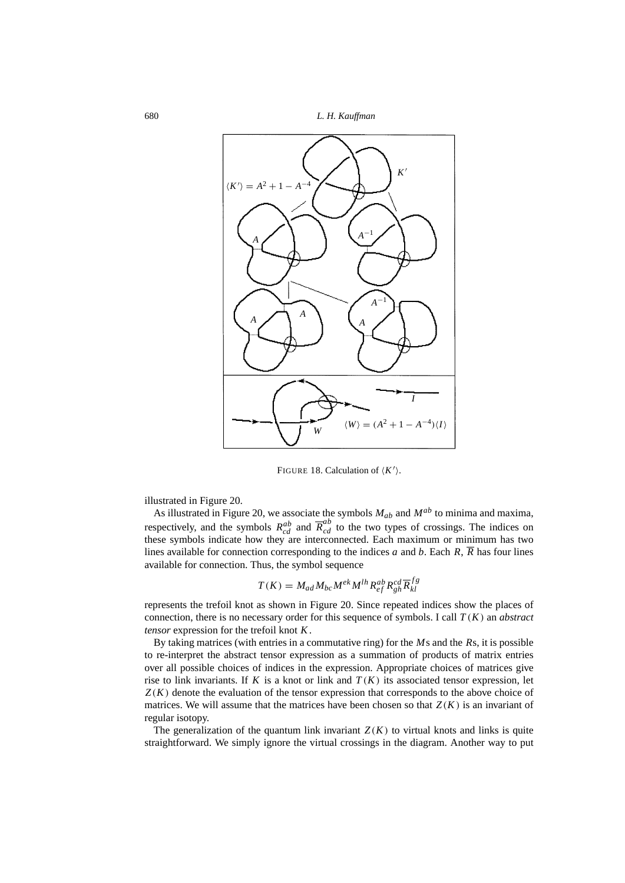

<span id="page-17-0"></span>FIGURE 18. Calculation of  $\langle K' \rangle$ .

illustrated in Figure [20.](#page-19-0)

As illustrated in Figure [20](#page-19-0), we associate the symbols *Mab* and *Mab* to minima and maxima, respectively, and the symbols  $R_{cd}^{ab}$  and  $\overline{R}_{cd}^{ab}$  to the two types of crossings. The indices on these symbols indicate how they are interconnected. Each maximum or minimum has two lines available for connection corresponding to the indices *a* and *b*. Each *R*,  $\overline{R}$  has four lines available for connection. Thus, the symbol sequence

$$
T(K) = M_{ad} M_{bc} M^{ek} M^{lh} R^{ab}_{ef} R^{cd}_{gh} \overline{R}^{fg}_{kl}
$$

represents the trefoil knot as shown in Figure [20](#page-19-0). Since repeated indices show the places of connection, there is no necessary order for this sequence of symbols. I call *T* (*K*) an *abstract tensor* expression for the trefoil knot *K*.

By taking matrices (with entries in a commutative ring) for the *M*s and the *R*s, it is possible to re-interpret the abstract tensor expression as a summation of products of matrix entries over all possible choices of indices in the expression. Appropriate choices of matrices give rise to link invariants. If  $K$  is a knot or link and  $T(K)$  its associated tensor expression, let  $Z(K)$  denote the evaluation of the tensor expression that corresponds to the above choice of matrices. We will assume that the matrices have been chosen so that  $Z(K)$  is an invariant of regular isotopy.

The generalization of the quantum link invariant  $Z(K)$  to virtual knots and links is quite straightforward. We simply ignore the virtual crossings in the diagram. Another way to put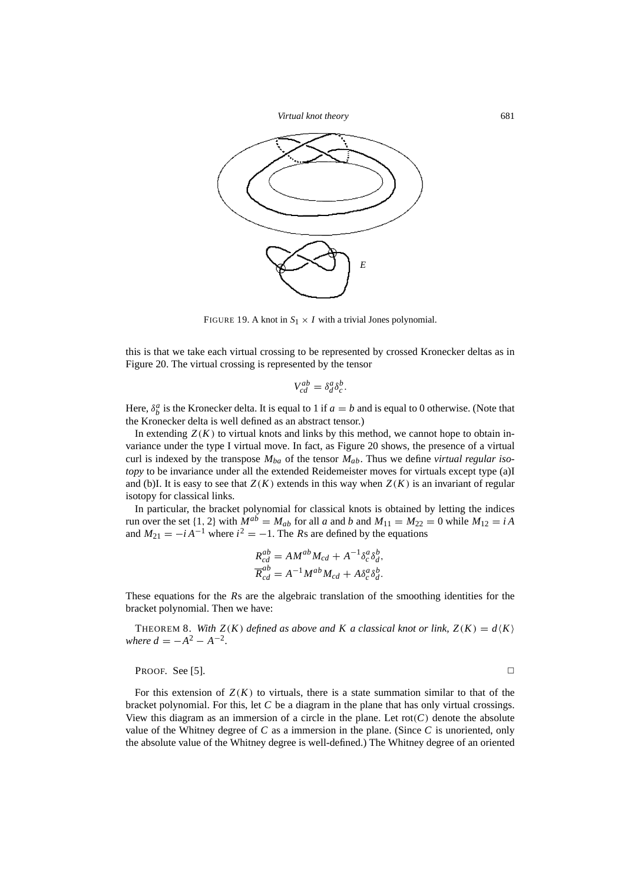

<span id="page-18-0"></span>FIGURE 19. A knot in  $S_1 \times I$  with a trivial Jones polynomial.

this is that we take each virtual crossing to be represented by crossed Kronecker deltas as in Figure [20](#page-19-0). The virtual crossing is represented by the tensor

$$
V_{cd}^{ab} = \delta_d^a \delta_c^b.
$$

Here,  $\delta_b^a$  is the Kronecker delta. It is equal to 1 if  $a = b$  and is equal to 0 otherwise. (Note that the Kronecker delta is well defined as an abstract tensor.)

In extending  $Z(K)$  to virtual knots and links by this method, we cannot hope to obtain invariance under the type I virtual move. In fact, as Figure [20](#page-19-0) shows, the presence of a virtual curl is indexed by the transpose *Mba* of the tensor *Mab*. Thus we define *virtual regular isotopy* to be invariance under all the extended Reidemeister moves for virtuals except type (a)I and (b)I. It is easy to see that  $Z(K)$  extends in this way when  $Z(K)$  is an invariant of regular isotopy for classical links.

In particular, the bracket polynomial for classical knots is obtained by letting the indices run over the set {1, 2} with  $M^{ab} = M_{ab}$  for all *a* and *b* and  $M_{11} = M_{22} = 0$  while  $M_{12} = iA$ and  $M_{21} = -i A^{-1}$  where  $i^2 = -1$ . The *Rs* are defined by the equations

$$
R_{cd}^{ab} = AM^{ab}M_{cd} + A^{-1}\delta_c^a \delta_d^b,
$$
  

$$
\overline{R}_{cd}^{ab} = A^{-1}M^{ab}M_{cd} + A\delta_c^a \delta_d^b.
$$

These equations for the *Rs* are the algebraic translation of the smoothing identities for the bracket polynomial. Then we have:

THEOREM 8. *With*  $Z(K)$  *defined as above and* K *a classical knot or link,*  $Z(K) = d\langle K \rangle$ *where*  $d = -A^2 - A^{-2}$ .

### PROOF. See [[5\]](#page-28-4).  $\Box$

For this extension of  $Z(K)$  to virtuals, there is a state summation similar to that of the bracket polynomial. For this, let *C* be a diagram in the plane that has only virtual crossings. View this diagram as an immersion of a circle in the plane. Let  $rot(C)$  denote the absolute value of the Whitney degree of *C* as a immersion in the plane. (Since *C* is unoriented, only the absolute value of the Whitney degree is well-defined.) The Whitney degree of an oriented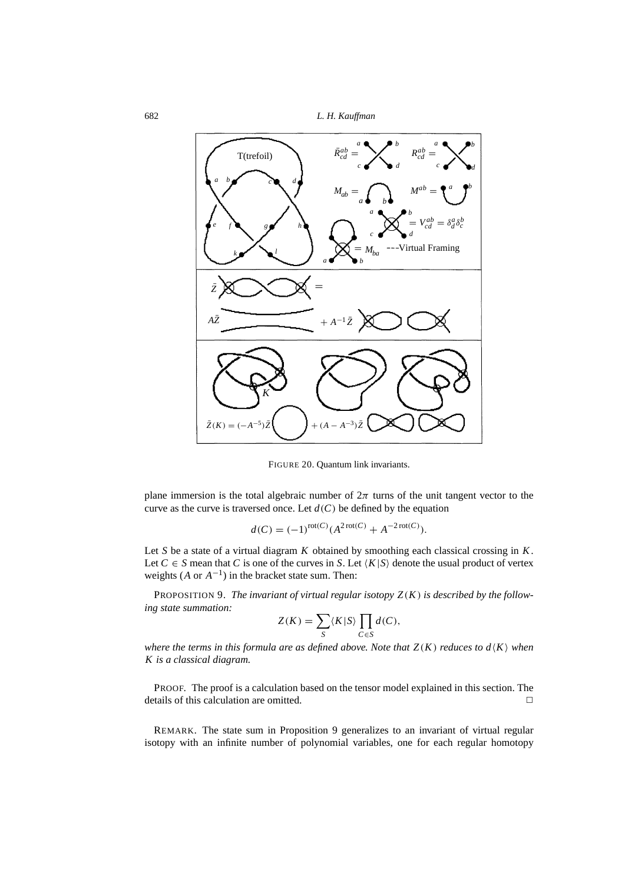682 *L. H. Kauffman*



<span id="page-19-0"></span>FIGURE 20. Quantum link invariants.

plane immersion is the total algebraic number of  $2\pi$  turns of the unit tangent vector to the curve as the curve is traversed once. Let  $d(C)$  be defined by the equation

$$
d(C) = (-1)^{\text{rot}(C)} (A^{2\text{rot}(C)} + A^{-2\text{rot}(C)}).
$$

Let *S* be a state of a virtual diagram *K* obtained by smoothing each classical crossing in *K*. Let  $C \in S$  mean that *C* is one of the curves in *S*. Let  $\langle K|S \rangle$  denote the usual product of vertex weights  $(A \text{ or } A^{-1})$  in the bracket state sum. Then:

PROPOSITION 9. *The invariant of virtual regular isotopy Z*(*K*) *is described by the following state summation:*

<span id="page-19-1"></span>
$$
Z(K) = \sum_{S} \langle K|S \rangle \prod_{C \in S} d(C),
$$

*where the terms in this formula are as defined above. Note that*  $Z(K)$  *reduces to*  $d\langle K \rangle$  *when K is a classical diagram.*

PROOF. The proof is a calculation based on the tensor model explained in this section. The details of this calculation are omitted.  $\Box$ 

REMARK. The state sum in Proposition [9](#page-19-1) generalizes to an invariant of virtual regular isotopy with an infinite number of polynomial variables, one for each regular homotopy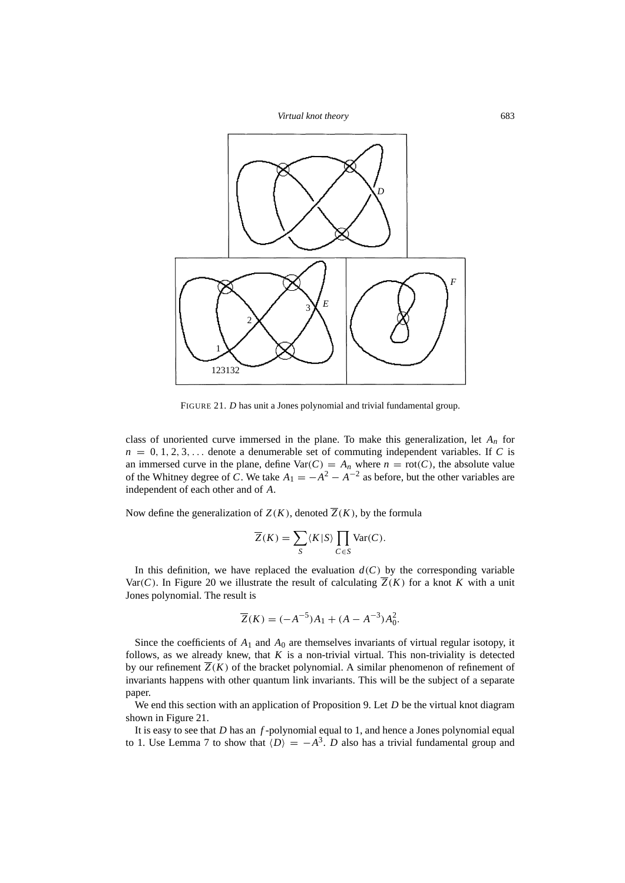

<span id="page-20-0"></span>FIGURE 21. *D* has unit a Jones polynomial and trivial fundamental group.

class of unoriented curve immersed in the plane. To make this generalization, let *A<sup>n</sup>* for  $n = 0, 1, 2, 3, \ldots$  denote a denumerable set of commuting independent variables. If *C* is an immersed curve in the plane, define  $Var(C) = A_n$  where  $n = rot(C)$ , the absolute value of the Whitney degree of *C*. We take  $A_1 = -A^2 - A^{-2}$  as before, but the other variables are independent of each other and of *A*.

Now define the generalization of  $Z(K)$ , denoted  $\overline{Z}(K)$ , by the formula

$$
\overline{Z}(K) = \sum_{S} \langle K|S \rangle \prod_{C \in S} \text{Var}(C).
$$

In this definition, we have replaced the evaluation  $d(C)$  by the corresponding variable Var(*C*). In Figure [20](#page-19-0) we illustrate the result of calculating  $\overline{Z}(K)$  for a knot *K* with a unit Jones polynomial. The result is

$$
\overline{Z}(K) = (-A^{-5})A_1 + (A - A^{-3})A_0^2.
$$

Since the coefficients of *A*<sup>1</sup> and *A*<sup>0</sup> are themselves invariants of virtual regular isotopy, it follows, as we already knew, that *K* is a non-trivial virtual. This non-triviality is detected by our refinement  $\overline{Z}(K)$  of the bracket polynomial. A similar phenomenon of refinement of invariants happens with other quantum link invariants. This will be the subject of a separate paper.

We end this section with an application of Proposition [9](#page-19-1). Let *D* be the virtual knot diagram shown in Figure [21.](#page-20-0)

It is easy to see that *D* has an *f* -polynomial equal to 1, and hence a Jones polynomial equal to 1. Use Lemma [7](#page-15-1) to show that  $\langle D \rangle = -A^3$ . *D* also has a trivial fundamental group and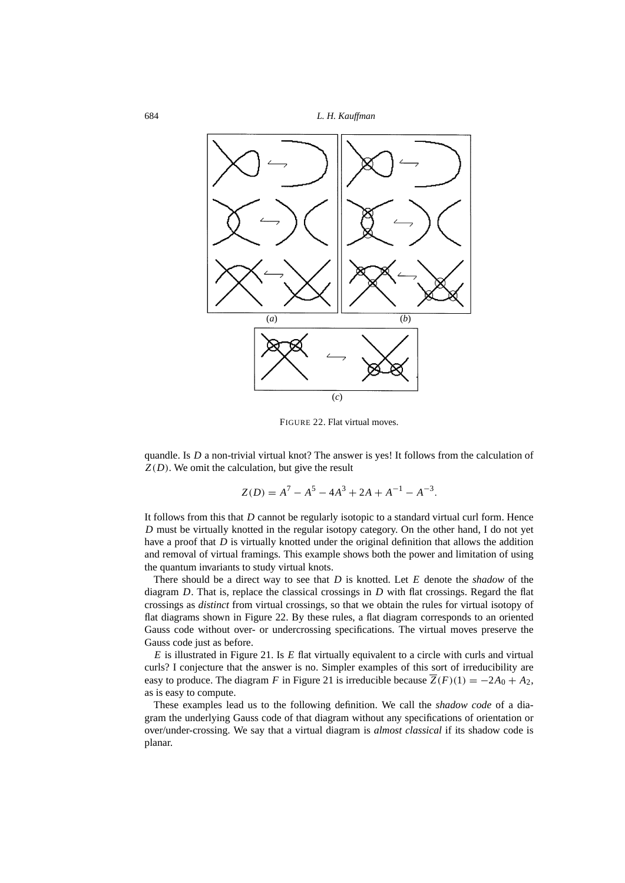684 *L. H. Kauffman*



FIGURE 22. Flat virtual moves.

quandle. Is *D* a non-trivial virtual knot? The answer is yes! It follows from the calculation of *Z*(*D*). We omit the calculation, but give the result

$$
Z(D) = A^7 - A^5 - 4A^3 + 2A + A^{-1} - A^{-3}.
$$

It follows from this that *D* cannot be regularly isotopic to a standard virtual curl form. Hence *D* must be virtually knotted in the regular isotopy category. On the other hand, I do not yet have a proof that *D* is virtually knotted under the original definition that allows the addition and removal of virtual framings. This example shows both the power and limitation of using the quantum invariants to study virtual knots.

There should be a direct way to see that *D* is knotted. Let *E* denote the *shadow* of the diagram *D*. That is, replace the classical crossings in *D* with flat crossings. Regard the flat crossings as *distinct* from virtual crossings, so that we obtain the rules for virtual isotopy of flat diagrams shown in Figure 22. By these rules, a flat diagram corresponds to an oriented Gauss code without over- or undercrossing specifications. The virtual moves preserve the Gauss code just as before.

*E* is illustrated in Figure [21](#page-20-0). Is *E* flat virtually equivalent to a circle with curls and virtual curls? I conjecture that the answer is no. Simpler examples of this sort of irreducibility are easy to produce. The diagram *F* in Figure [21](#page-20-0) is irreducible because  $\overline{Z}(F)(1) = -2A_0 + A_2$ , as is easy to compute.

These examples lead us to the following definition. We call the *shadow code* of a diagram the underlying Gauss code of that diagram without any specifications of orientation or over/under-crossing. We say that a virtual diagram is *almost classical* if its shadow code is planar.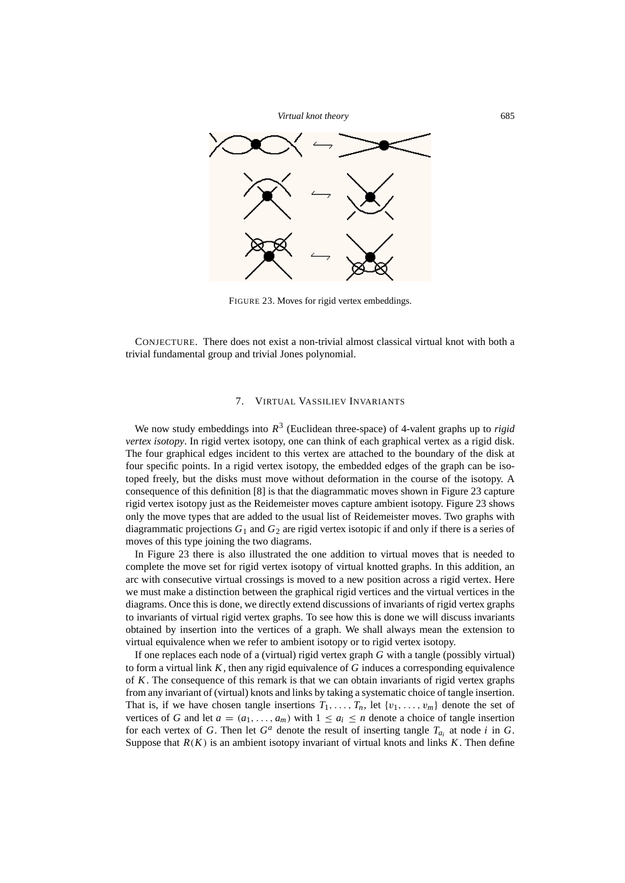

<span id="page-22-1"></span>FIGURE 23. Moves for rigid vertex embeddings.

CONJECTURE. There does not exist a non-trivial almost classical virtual knot with both a trivial fundamental group and trivial Jones polynomial.

## 7. VIRTUAL VASSILIEV INVARIANTS

<span id="page-22-0"></span>We now study embeddings into *R* 3 (Euclidean three-space) of 4-valent graphs up to *rigid vertex isotopy*. In rigid vertex isotopy, one can think of each graphical vertex as a rigid disk. The four graphical edges incident to this vertex are attached to the boundary of the disk at four specific points. In a rigid vertex isotopy, the embedded edges of the graph can be isotoped freely, but the disks must move without deformation in the course of the isotopy. A consequence of this definition [[8\]](#page-28-8) is that the diagrammatic moves shown in Figure [23](#page-22-1) capture rigid vertex isotopy just as the Reidemeister moves capture ambient isotopy. Figure [23](#page-22-1) shows only the move types that are added to the usual list of Reidemeister moves. Two graphs with diagrammatic projections  $G_1$  and  $G_2$  are rigid vertex isotopic if and only if there is a series of moves of this type joining the two diagrams.

In Figure [23](#page-22-1) there is also illustrated the one addition to virtual moves that is needed to complete the move set for rigid vertex isotopy of virtual knotted graphs. In this addition, an arc with consecutive virtual crossings is moved to a new position across a rigid vertex. Here we must make a distinction between the graphical rigid vertices and the virtual vertices in the diagrams. Once this is done, we directly extend discussions of invariants of rigid vertex graphs to invariants of virtual rigid vertex graphs. To see how this is done we will discuss invariants obtained by insertion into the vertices of a graph. We shall always mean the extension to virtual equivalence when we refer to ambient isotopy or to rigid vertex isotopy.

If one replaces each node of a (virtual) rigid vertex graph *G* with a tangle (possibly virtual) to form a virtual link *K*, then any rigid equivalence of *G* induces a corresponding equivalence of *K*. The consequence of this remark is that we can obtain invariants of rigid vertex graphs from any invariant of (virtual) knots and links by taking a systematic choice of tangle insertion. That is, if we have chosen tangle insertions  $T_1, \ldots, T_n$ , let  $\{v_1, \ldots, v_m\}$  denote the set of vertices of *G* and let  $a = (a_1, \ldots, a_m)$  with  $1 \le a_i \le n$  denote a choice of tangle insertion for each vertex of *G*. Then let  $G^a$  denote the result of inserting tangle  $T_{a_i}$  at node *i* in *G*. Suppose that  $R(K)$  is an ambient isotopy invariant of virtual knots and links  $K$ . Then define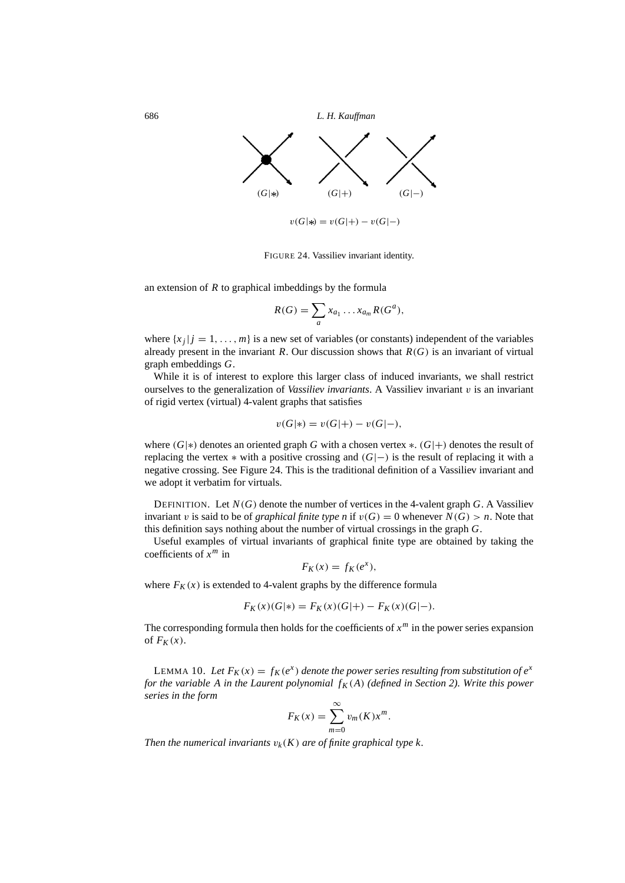

<span id="page-23-0"></span>FIGURE 24. Vassiliev invariant identity.

an extension of *R* to graphical imbeddings by the formula

$$
R(G) = \sum_{a} x_{a_1} \dots x_{a_m} R(G^a),
$$

where  $\{x_j | j = 1, \ldots, m\}$  is a new set of variables (or constants) independent of the variables already present in the invariant *R*. Our discussion shows that  $R(G)$  is an invariant of virtual graph embeddings *G*.

While it is of interest to explore this larger class of induced invariants, we shall restrict ourselves to the generalization of *Vassiliev invariants*. A Vassiliev invariant  $v$  is an invariant of rigid vertex (virtual) 4-valent graphs that satisfies

$$
v(G|*) = v(G|+) - v(G|-),
$$

where (*G*|∗) denotes an oriented graph *G* with a chosen vertex ∗. (*G*|+) denotes the result of replacing the vertex  $*$  with a positive crossing and  $(G|-)$  is the result of replacing it with a negative crossing. See Figure [24](#page-23-0). This is the traditional definition of a Vassiliev invariant and we adopt it verbatim for virtuals.

DEFINITION. Let  $N(G)$  denote the number of vertices in the 4-valent graph  $G$ . A Vassiliev invariant v is said to be of *graphical finite type n* if  $v(G) = 0$  whenever  $N(G) > n$ . Note that this definition says nothing about the number of virtual crossings in the graph *G*.

Useful examples of virtual invariants of graphical finite type are obtained by taking the coefficients of *x <sup>m</sup>* in

$$
F_K(x) = f_K(e^x),
$$

where  $F_K(x)$  is extended to 4-valent graphs by the difference formula

$$
F_K(x)(G|*) = F_K(x)(G|+) - F_K(x)(G|-).
$$

The corresponding formula then holds for the coefficients of  $x^m$  in the power series expansion of  $F_K(x)$ .

LEMMA 10. Let  $F_K(x) = f_K(e^x)$  denote the power series resulting from substitution of  $e^x$ *for the variable A in the Laurent polynomial f<sup>K</sup>* (*A*) *(defined in Section [2\)](#page-0-0). Write this power series in the form*

$$
F_K(x) = \sum_{m=0}^{\infty} v_m(K)x^m.
$$

*Then the numerical invariants*  $v_k(K)$  *are of finite graphical type k.*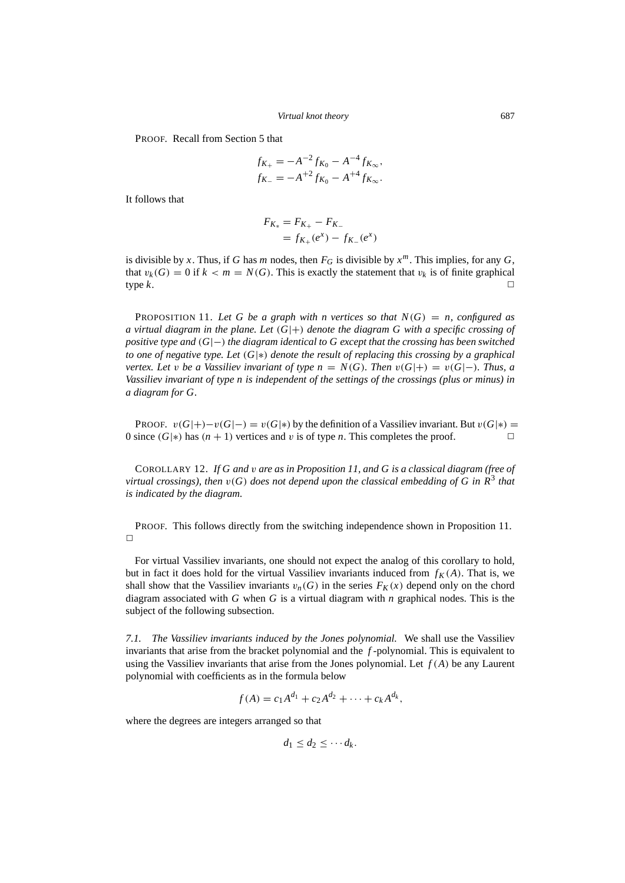PROOF. Recall from Section [5](#page-13-0) that

$$
f_{K_+} = -A^{-2} f_{K_0} - A^{-4} f_{K_{\infty}},
$$
  

$$
f_{K_-} = -A^{+2} f_{K_0} - A^{+4} f_{K_{\infty}}.
$$

It follows that

$$
F_{K_{*}} = F_{K_{+}} - F_{K_{-}}
$$
  
=  $f_{K_{+}}(e^{x}) - f_{K_{-}}(e^{x})$ 

is divisible by *x*. Thus, if *G* has *m* nodes, then  $F_G$  is divisible by  $x^m$ . This implies, for any *G*, that  $v_k(G) = 0$  if  $k < m = N(G)$ . This is exactly the statement that  $v_k$  is of finite graphical type  $k$ .

<span id="page-24-0"></span>**PROPOSITION 11.** Let G be a graph with n vertices so that  $N(G) = n$ , configured as *a virtual diagram in the plane. Let* (*G*|+) *denote the diagram G with a specific crossing of positive type and* (*G*|−) *the diagram identical to G except that the crossing has been switched to one of negative type. Let* (*G*|∗) *denote the result of replacing this crossing by a graphical vertex. Let* v *be a Vassiliev invariant of type*  $n = N(G)$ *. Then*  $v(G|+) = v(G|-)$ *. Thus, a Vassiliev invariant of type n is independent of the settings of the crossings (plus or minus) in a diagram for G.*

PROOF.  $v(G|+) - v(G|-) = v(G|*)$  by the definition of a Vassiliev invariant. But  $v(G|*) =$ 0 since  $(G|*)$  has  $(n + 1)$  vertices and v is of type *n*. This completes the proof.

COROLLARY 12. *If G and* v *are as in Proposition [11](#page-24-0), and G is a classical diagram (free of* virtual crossings), then  $v(G)$  does not depend upon the classical embedding of G in  $R^3$  that *is indicated by the diagram.*

PROOF. This follows directly from the switching independence shown in Proposition [11](#page-24-0).  $\Box$ 

For virtual Vassiliev invariants, one should not expect the analog of this corollary to hold, but in fact it does hold for the virtual Vassiliev invariants induced from  $f_K(A)$ . That is, we shall show that the Vassiliev invariants  $v_n(G)$  in the series  $F_K(x)$  depend only on the chord diagram associated with *G* when *G* is a virtual diagram with *n* graphical nodes. This is the subject of the following subsection.

*7.1. The Vassiliev invariants induced by the Jones polynomial.* We shall use the Vassiliev invariants that arise from the bracket polynomial and the *f* -polynomial. This is equivalent to using the Vassiliev invariants that arise from the Jones polynomial. Let *f* (*A*) be any Laurent polynomial with coefficients as in the formula below

$$
f(A) = c_1 A^{d_1} + c_2 A^{d_2} + \cdots + c_k A^{d_k},
$$

where the degrees are integers arranged so that

$$
d_1 \leq d_2 \leq \cdots d_k.
$$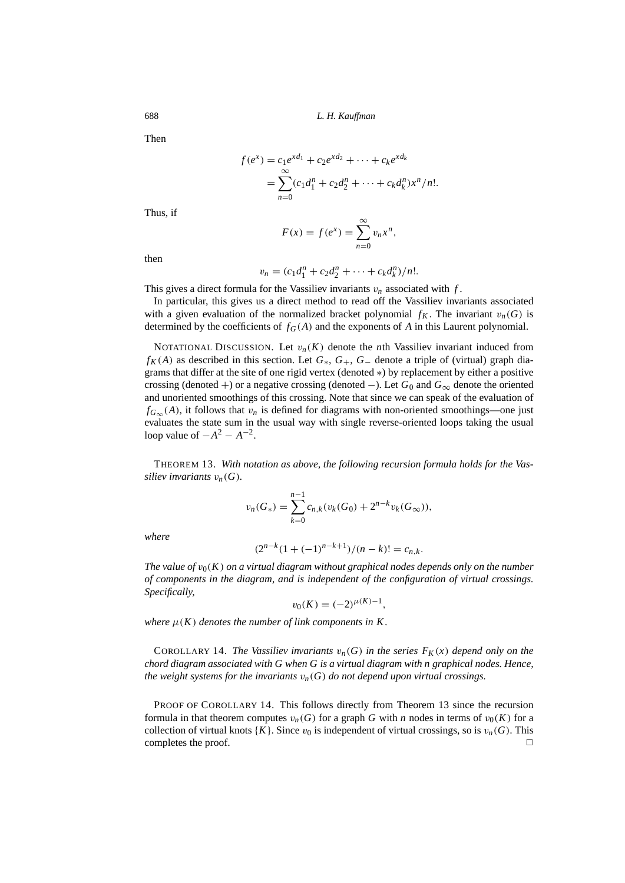Then

$$
f(e^x) = c_1 e^{xd_1} + c_2 e^{xd_2} + \dots + c_k e^{xd_k}
$$
  
= 
$$
\sum_{n=0}^{\infty} (c_1 d_1^n + c_2 d_2^n + \dots + c_k d_k^n) x^n / n!.
$$

Thus, if

$$
F(x) = f(e^x) = \sum_{n=0}^{\infty} v_n x^n,
$$

then

$$
v_n = (c_1d_1^n + c_2d_2^n + \cdots + c_kd_k^n)/n!.
$$

This gives a direct formula for the Vassiliev invariants  $v_n$  associated with  $f$ .

In particular, this gives us a direct method to read off the Vassiliev invariants associated with a given evaluation of the normalized bracket polynomial  $f_K$ . The invariant  $v_n(G)$  is determined by the coefficients of  $f_G(A)$  and the exponents of *A* in this Laurent polynomial.

NOTATIONAL DISCUSSION. Let  $v_n(K)$  denote the *n*th Vassiliev invariant induced from  $f_K(A)$  as described in this section. Let  $G_*, G_+, G_-$  denote a triple of (virtual) graph diagrams that differ at the site of one rigid vertex (denoted ∗) by replacement by either a positive crossing (denoted +) or a negative crossing (denoted  $-$ ). Let  $G_0$  and  $G_\infty$  denote the oriented and unoriented smoothings of this crossing. Note that since we can speak of the evaluation of  $f_{G_{\infty}}(A)$ , it follows that  $v_n$  is defined for diagrams with non-oriented smoothings—one just evaluates the state sum in the usual way with single reverse-oriented loops taking the usual loop value of  $-A^2 - A^{-2}$ .

<span id="page-25-0"></span>THEOREM 13. *With notation as above, the following recursion formula holds for the Vassiliev invariants*  $v_n(G)$ .

$$
v_n(G_*) = \sum_{k=0}^{n-1} c_{n,k}(v_k(G_0) + 2^{n-k}v_k(G_{\infty})),
$$

*where*

$$
(2^{n-k}(1+(-1)^{n-k+1})/(n-k)! = c_{n,k}.
$$

*The value of*  $v_0(K)$  *on a virtual diagram without graphical nodes depends only on the number of components in the diagram, and is independent of the configuration of virtual crossings. Specifically,*

$$
v_0(K) = (-2)^{\mu(K) - 1}
$$

,

*where*  $\mu(K)$  *denotes the number of link components in*  $K$ *.* 

COROLLARY 14. *The Vassiliev invariants*  $v_n(G)$  *in the series*  $F_K(x)$  *depend only on the chord diagram associated with G when G is a virtual diagram with n graphical nodes. Hence, the weight systems for the invariants*  $v_n(G)$  *do not depend upon virtual crossings.* 

PROOF OF COROLLARY 14. This follows directly from Theorem [13](#page-25-0) since the recursion formula in that theorem computes  $v_n(G)$  for a graph *G* with *n* nodes in terms of  $v_0(K)$  for a collection of virtual knots  $\{K\}$ . Since  $v_0$  is independent of virtual crossings, so is  $v_n(G)$ . This completes the proof.  $\Box$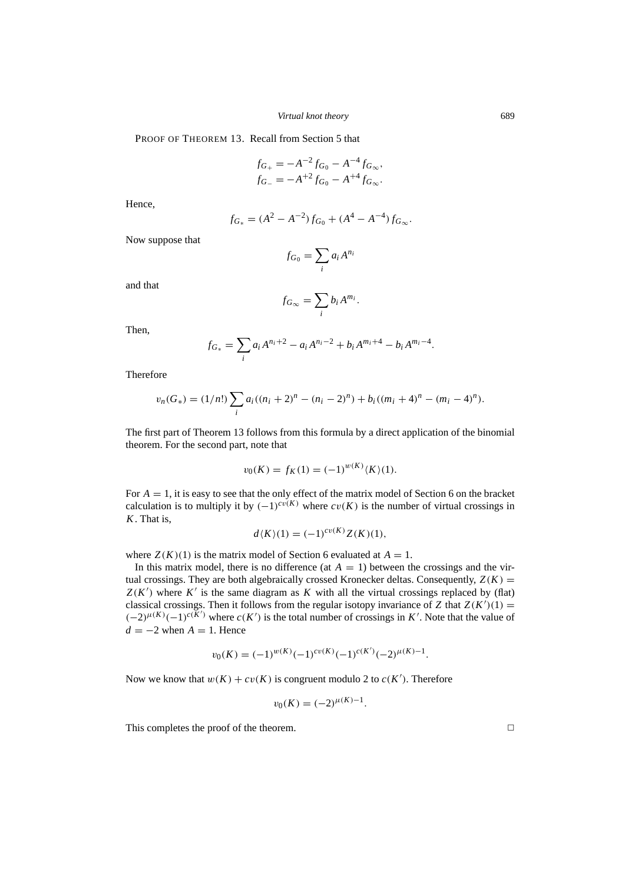PROOF OF THEOREM [13](#page-25-0). Recall from Section [5](#page-13-0) that

$$
f_{G_{+}} = -A^{-2} f_{G_{0}} - A^{-4} f_{G_{\infty}},
$$
  
\n
$$
f_{G_{-}} = -A^{+2} f_{G_{0}} - A^{+4} f_{G_{\infty}}.
$$

Hence,

$$
f_{G_*} = (A^2 - A^{-2}) f_{G_0} + (A^4 - A^{-4}) f_{G_\infty}.
$$

Now suppose that

$$
f_{G_0} = \sum_i a_i A^{n_i}
$$

and that

$$
f_{G_{\infty}} = \sum_{i} b_i A^{m_i}.
$$

Then,

$$
f_{G_*} = \sum_i a_i A^{n_i+2} - a_i A^{n_i-2} + b_i A^{m_i+4} - b_i A^{m_i-4}.
$$

Therefore

$$
v_n(G_*) = (1/n!) \sum_i a_i ((n_i + 2)^n - (n_i - 2)^n) + b_i ((m_i + 4)^n - (m_i - 4)^n).
$$

The first part of Theorem [13](#page-25-0) follows from this formula by a direct application of the binomial theorem. For the second part, note that

$$
v_0(K) = f_K(1) = (-1)^{w(K)} \langle K \rangle(1).
$$

For  $A = 1$ , it is easy to see that the only effect of the matrix model of Section [6](#page-16-0) on the bracket calculation is to multiply it by  $(-1)^{cv(K)}$  where  $cv(K)$  is the number of virtual crossings in *K*. That is,

$$
d\langle K\rangle(1) = (-1)^{cv(K)}Z(K)(1),
$$

where  $Z(K)(1)$  is the matrix model of Section [6](#page-16-0) evaluated at  $A = 1$ .

In this matrix model, there is no difference (at  $A = 1$ ) between the crossings and the virtual crossings. They are both algebraically crossed Kronecker deltas. Consequently,  $Z(K)$  =  $Z(K')$  where  $K'$  is the same diagram as  $K$  with all the virtual crossings replaced by (flat) classical crossings. Then it follows from the regular isotopy invariance of *Z* that  $Z(K')(1) =$  $(-2)^{\mu(K)}(-1)^{c(K')}$  where  $c(K')$  is the total number of crossings in *K*'. Note that the value of  $d = -2$  when  $A = 1$ . Hence

$$
v_0(K) = (-1)^{w(K)} (-1)^{cv(K)} (-1)^{c(K')} (-2)^{\mu(K)-1}.
$$

Now we know that  $w(K) + cv(K)$  is congruent modulo 2 to  $c(K')$ . Therefore

$$
v_0(K)=(-2)^{\mu(K)-1}.
$$

This completes the proof of the theorem.  $\Box$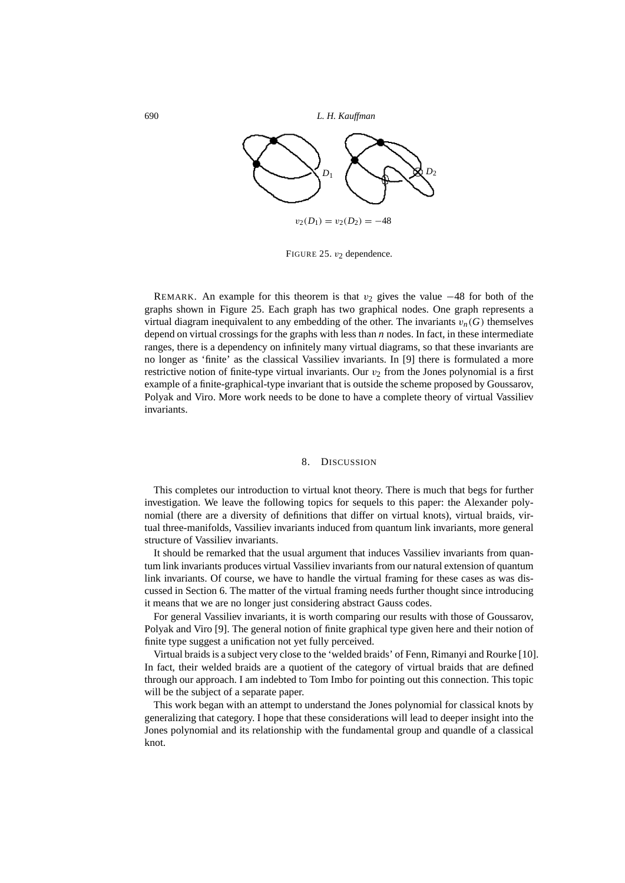

<span id="page-27-1"></span>FIGURE 25.  $v_2$  dependence.

REMARK. An example for this theorem is that  $v_2$  gives the value −48 for both of the graphs shown in Figure [25](#page-27-1). Each graph has two graphical nodes. One graph represents a virtual diagram inequivalent to any embedding of the other. The invariants  $v_n(G)$  themselves depend on virtual crossings for the graphs with less than *n* nodes. In fact, in these intermediate ranges, there is a dependency on infinitely many virtual diagrams, so that these invariants are no longer as 'finite' as the classical Vassiliev invariants. In [\[9](#page-28-5)] there is formulated a more restrictive notion of finite-type virtual invariants. Our  $v_2$  from the Jones polynomial is a first example of a finite-graphical-type invariant that is outside the scheme proposed by Goussarov, Polyak and Viro. More work needs to be done to have a complete theory of virtual Vassiliev invariants.

#### 8. DISCUSSION

<span id="page-27-0"></span>This completes our introduction to virtual knot theory. There is much that begs for further investigation. We leave the following topics for sequels to this paper: the Alexander polynomial (there are a diversity of definitions that differ on virtual knots), virtual braids, virtual three-manifolds, Vassiliev invariants induced from quantum link invariants, more general structure of Vassiliev invariants.

It should be remarked that the usual argument that induces Vassiliev invariants from quantum link invariants produces virtual Vassiliev invariants from our natural extension of quantum link invariants. Of course, we have to handle the virtual framing for these cases as was discussed in Section [6](#page-16-0). The matter of the virtual framing needs further thought since introducing it means that we are no longer just considering abstract Gauss codes.

For general Vassiliev invariants, it is worth comparing our results with those of Goussarov, Polyak and Viro [[9\]](#page-28-5). The general notion of finite graphical type given here and their notion of finite type suggest a unification not yet fully perceived.

Virtual braids is a subject very close to the 'welded braids' of Fenn, Rimanyi and Rourke [[10](#page-28-9)]. In fact, their welded braids are a quotient of the category of virtual braids that are defined through our approach. I am indebted to Tom Imbo for pointing out this connection. This topic will be the subject of a separate paper.

This work began with an attempt to understand the Jones polynomial for classical knots by generalizing that category. I hope that these considerations will lead to deeper insight into the Jones polynomial and its relationship with the fundamental group and quandle of a classical knot.